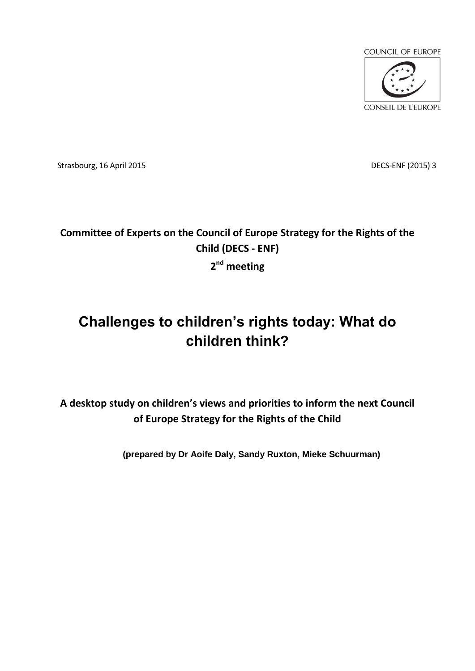

Strasbourg, 16 April 2015 DECS-ENF (2015) 3

## **Committee of Experts on the Council of Europe Strategy for the Rights of the Child (DECS - ENF) 2 nd meeting**

# **Challenges to children's rights today: What do children think?**

**A desktop study on children's views and priorities to inform the next Council of Europe Strategy for the Rights of the Child**

**(prepared by Dr Aoife Daly, Sandy Ruxton, Mieke Schuurman)**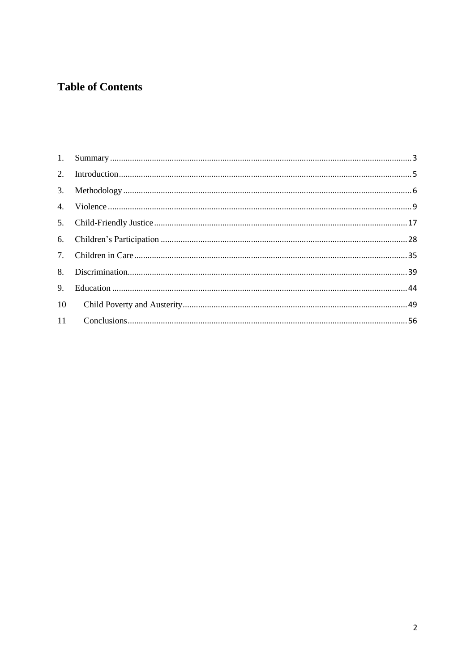## **Table of Contents**

| 10 |  |
|----|--|
|    |  |
|    |  |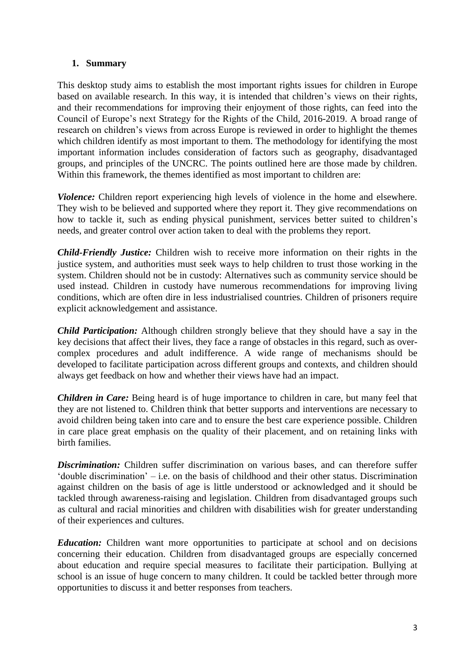#### <span id="page-2-0"></span>**1. Summary**

This desktop study aims to establish the most important rights issues for children in Europe based on available research. In this way, it is intended that children's views on their rights, and their recommendations for improving their enjoyment of those rights, can feed into the Council of Europe's next Strategy for the Rights of the Child, 2016-2019. A broad range of research on children's views from across Europe is reviewed in order to highlight the themes which children identify as most important to them. The methodology for identifying the most important information includes consideration of factors such as geography, disadvantaged groups, and principles of the UNCRC. The points outlined here are those made by children. Within this framework, the themes identified as most important to children are:

*Violence:* Children report experiencing high levels of violence in the home and elsewhere. They wish to be believed and supported where they report it. They give recommendations on how to tackle it, such as ending physical punishment, services better suited to children's needs, and greater control over action taken to deal with the problems they report.

*Child-Friendly Justice:* Children wish to receive more information on their rights in the justice system, and authorities must seek ways to help children to trust those working in the system. Children should not be in custody: Alternatives such as community service should be used instead. Children in custody have numerous recommendations for improving living conditions, which are often dire in less industrialised countries. Children of prisoners require explicit acknowledgement and assistance.

*Child Participation:* Although children strongly believe that they should have a say in the key decisions that affect their lives, they face a range of obstacles in this regard, such as overcomplex procedures and adult indifference. A wide range of mechanisms should be developed to facilitate participation across different groups and contexts, and children should always get feedback on how and whether their views have had an impact.

*Children in Care:* Being heard is of huge importance to children in care, but many feel that they are not listened to. Children think that better supports and interventions are necessary to avoid children being taken into care and to ensure the best care experience possible. Children in care place great emphasis on the quality of their placement, and on retaining links with birth families.

*Discrimination:* Children suffer discrimination on various bases, and can therefore suffer 'double discrimination' – i.e. on the basis of childhood and their other status. Discrimination against children on the basis of age is little understood or acknowledged and it should be tackled through awareness-raising and legislation. Children from disadvantaged groups such as cultural and racial minorities and children with disabilities wish for greater understanding of their experiences and cultures.

*Education:* Children want more opportunities to participate at school and on decisions concerning their education. Children from disadvantaged groups are especially concerned about education and require special measures to facilitate their participation. Bullying at school is an issue of huge concern to many children. It could be tackled better through more opportunities to discuss it and better responses from teachers.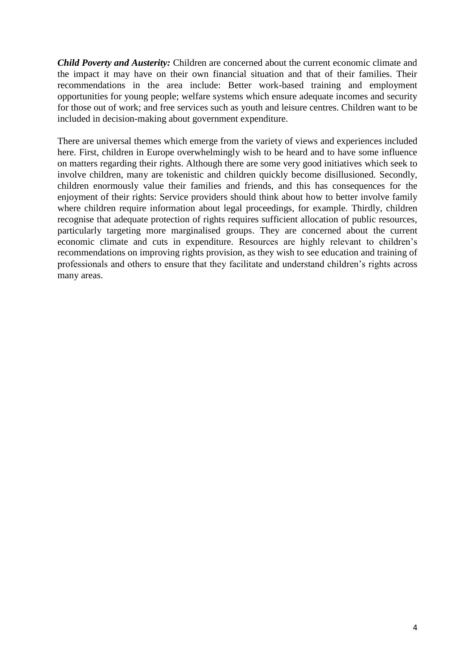*Child Poverty and Austerity:* Children are concerned about the current economic climate and the impact it may have on their own financial situation and that of their families. Their recommendations in the area include: Better work-based training and employment opportunities for young people; welfare systems which ensure adequate incomes and security for those out of work; and free services such as youth and leisure centres. Children want to be included in decision-making about government expenditure.

There are universal themes which emerge from the variety of views and experiences included here. First, children in Europe overwhelmingly wish to be heard and to have some influence on matters regarding their rights. Although there are some very good initiatives which seek to involve children, many are tokenistic and children quickly become disillusioned. Secondly, children enormously value their families and friends, and this has consequences for the enjoyment of their rights: Service providers should think about how to better involve family where children require information about legal proceedings, for example. Thirdly, children recognise that adequate protection of rights requires sufficient allocation of public resources, particularly targeting more marginalised groups. They are concerned about the current economic climate and cuts in expenditure. Resources are highly relevant to children's recommendations on improving rights provision, as they wish to see education and training of professionals and others to ensure that they facilitate and understand children's rights across many areas.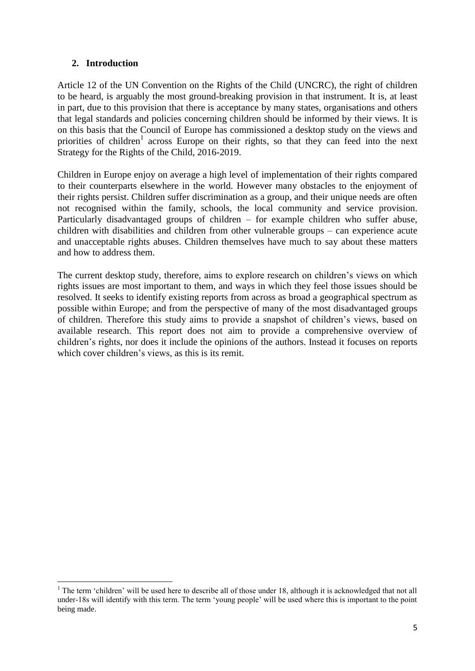## <span id="page-4-0"></span>**2. Introduction**

Article 12 of the UN Convention on the Rights of the Child (UNCRC), the right of children to be heard, is arguably the most ground-breaking provision in that instrument. It is, at least in part, due to this provision that there is acceptance by many states, organisations and others that legal standards and policies concerning children should be informed by their views. It is on this basis that the Council of Europe has commissioned a desktop study on the views and priorities of children<sup>1</sup> across Europe on their rights, so that they can feed into the next Strategy for the Rights of the Child, 2016-2019.

Children in Europe enjoy on average a high level of implementation of their rights compared to their counterparts elsewhere in the world. However many obstacles to the enjoyment of their rights persist. Children suffer discrimination as a group, and their unique needs are often not recognised within the family, schools, the local community and service provision. Particularly disadvantaged groups of children – for example children who suffer abuse, children with disabilities and children from other vulnerable groups – can experience acute and unacceptable rights abuses. Children themselves have much to say about these matters and how to address them.

The current desktop study, therefore, aims to explore research on children's views on which rights issues are most important to them, and ways in which they feel those issues should be resolved. It seeks to identify existing reports from across as broad a geographical spectrum as possible within Europe; and from the perspective of many of the most disadvantaged groups of children. Therefore this study aims to provide a snapshot of children's views, based on available research. This report does not aim to provide a comprehensive overview of children's rights, nor does it include the opinions of the authors. Instead it focuses on reports which cover children's views, as this is its remit.

<sup>1</sup>  $1$ <sup>1</sup> The term 'children' will be used here to describe all of those under 18, although it is acknowledged that not all under-18s will identify with this term. The term 'young people' will be used where this is important to the point being made.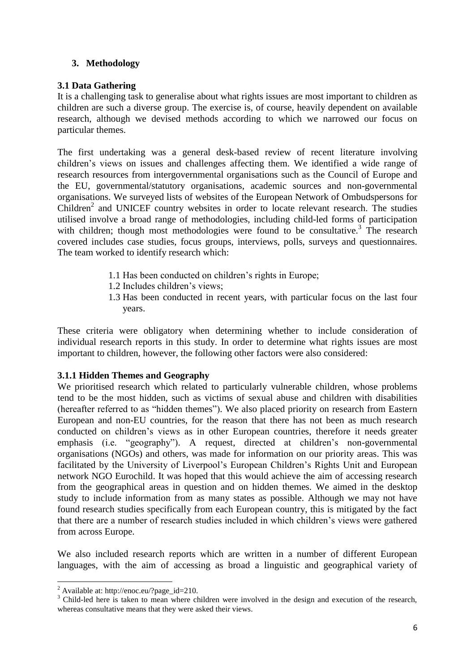## <span id="page-5-0"></span>**3. Methodology**

## **3.1 Data Gathering**

It is a challenging task to generalise about what rights issues are most important to children as children are such a diverse group. The exercise is, of course, heavily dependent on available research, although we devised methods according to which we narrowed our focus on particular themes.

The first undertaking was a general desk-based review of recent literature involving children's views on issues and challenges affecting them. We identified a wide range of research resources from intergovernmental organisations such as the Council of Europe and the EU, governmental/statutory organisations, academic sources and non-governmental organisations. We surveyed lists of websites of the European Network of Ombudspersons for Children<sup>2</sup> and UNICEF country websites in order to locate relevant research. The studies utilised involve a broad range of methodologies, including child-led forms of participation with children; though most methodologies were found to be consultative.<sup>3</sup> The research covered includes case studies, focus groups, interviews, polls, surveys and questionnaires. The team worked to identify research which:

- 1.1 Has been conducted on children's rights in Europe;
- 1.2 Includes children's views;
- 1.3 Has been conducted in recent years, with particular focus on the last four years.

These criteria were obligatory when determining whether to include consideration of individual research reports in this study. In order to determine what rights issues are most important to children, however, the following other factors were also considered:

## **3.1.1 Hidden Themes and Geography**

We prioritised research which related to particularly vulnerable children, whose problems tend to be the most hidden, such as victims of sexual abuse and children with disabilities (hereafter referred to as "hidden themes"). We also placed priority on research from Eastern European and non-EU countries, for the reason that there has not been as much research conducted on children's views as in other European countries, therefore it needs greater emphasis (i.e. "geography"). A request, directed at children's non-governmental organisations (NGOs) and others, was made for information on our priority areas. This was facilitated by the University of Liverpool's European Children's Rights Unit and European network NGO Eurochild. It was hoped that this would achieve the aim of accessing research from the geographical areas in question and on hidden themes. We aimed in the desktop study to include information from as many states as possible. Although we may not have found research studies specifically from each European country, this is mitigated by the fact that there are a number of research studies included in which children's views were gathered from across Europe.

We also included research reports which are written in a number of different European languages, with the aim of accessing as broad a linguistic and geographical variety of

<sup>1</sup> <sup>2</sup> Available at: http://enoc.eu/?page\_id=210.

<sup>&</sup>lt;sup>3</sup> Child-led here is taken to mean where children were involved in the design and execution of the research, whereas consultative means that they were asked their views.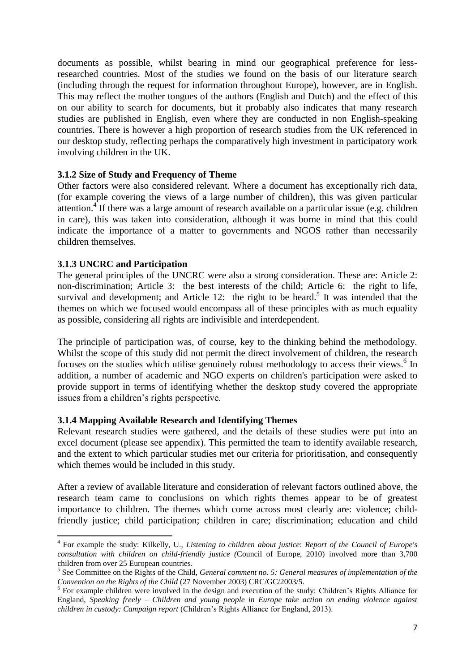documents as possible, whilst bearing in mind our geographical preference for lessresearched countries. Most of the studies we found on the basis of our literature search (including through the request for information throughout Europe), however, are in English. This may reflect the mother tongues of the authors (English and Dutch) and the effect of this on our ability to search for documents, but it probably also indicates that many research studies are published in English, even where they are conducted in non English-speaking countries. There is however a high proportion of research studies from the UK referenced in our desktop study, reflecting perhaps the comparatively high investment in participatory work involving children in the UK.

#### **3.1.2 Size of Study and Frequency of Theme**

<span id="page-6-1"></span>Other factors were also considered relevant. Where a document has exceptionally rich data, (for example covering the views of a large number of children), this was given particular attention.<sup>4</sup> If there was a large amount of research available on a particular issue (e.g. children in care), this was taken into consideration, although it was borne in mind that this could indicate the importance of a matter to governments and NGOS rather than necessarily children themselves.

#### **3.1.3 UNCRC and Participation**

The general principles of the UNCRC were also a strong consideration. These are: Article 2: non-discrimination; Article 3: the best interests of the child; Article 6: the right to life, survival and development; and Article 12: the right to be heard.<sup>5</sup> It was intended that the themes on which we focused would encompass all of these principles with as much equality as possible, considering all rights are indivisible and interdependent.

<span id="page-6-0"></span>The principle of participation was, of course, key to the thinking behind the methodology. Whilst the scope of this study did not permit the direct involvement of children, the research focuses on the studies which utilise genuinely robust methodology to access their views.<sup>6</sup> In addition, a number of academic and NGO experts on children's participation were asked to provide support in terms of identifying whether the desktop study covered the appropriate issues from a children's rights perspective.

#### **3.1.4 Mapping Available Research and Identifying Themes**

Relevant research studies were gathered, and the details of these studies were put into an excel document (please see appendix). This permitted the team to identify available research, and the extent to which particular studies met our criteria for prioritisation, and consequently which themes would be included in this study.

After a review of available literature and consideration of relevant factors outlined above, the research team came to conclusions on which rights themes appear to be of greatest importance to children. The themes which come across most clearly are: violence; childfriendly justice; child participation; children in care; discrimination; education and child

**<sup>.</sup>** 4 For example the study: Kilkelly, U., *Listening to children about justice*: *Report of the Council of Europe's consultation with children on child-friendly justice (*Council of Europe, 2010) involved more than 3,700 children from over 25 European countries.

<sup>5</sup> See Committee on the Rights of the Child, *General comment no. 5: General measures of implementation of the Convention on the Rights of the Child* (27 November 2003) CRC/GC/2003/5.

<sup>&</sup>lt;sup>6</sup> For example children were involved in the design and execution of the study: Children's Rights Alliance for England, *Speaking freely – Children and young people in Europe take action on ending violence against children in custody: Campaign report* (Children's Rights Alliance for England, 2013).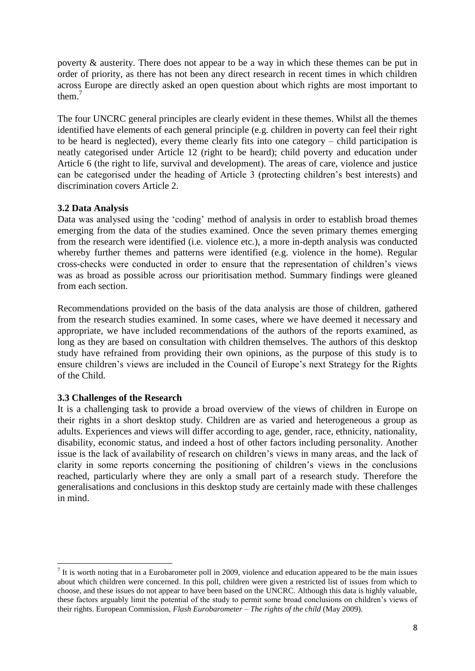poverty & austerity. There does not appear to be a way in which these themes can be put in order of priority, as there has not been any direct research in recent times in which children across Europe are directly asked an open question about which rights are most important to them. 7

<span id="page-7-0"></span>The four UNCRC general principles are clearly evident in these themes. Whilst all the themes identified have elements of each general principle (e.g. children in poverty can feel their right to be heard is neglected), every theme clearly fits into one category – child participation is neatly categorised under Article 12 (right to be heard); child poverty and education under Article 6 (the right to life, survival and development). The areas of care, violence and justice can be categorised under the heading of Article 3 (protecting children's best interests) and discrimination covers Article 2.

## **3.2 Data Analysis**

Data was analysed using the 'coding' method of analysis in order to establish broad themes emerging from the data of the studies examined. Once the seven primary themes emerging from the research were identified (i.e. violence etc.), a more in-depth analysis was conducted whereby further themes and patterns were identified (e.g. violence in the home). Regular cross-checks were conducted in order to ensure that the representation of children's views was as broad as possible across our prioritisation method. Summary findings were gleaned from each section.

Recommendations provided on the basis of the data analysis are those of children, gathered from the research studies examined. In some cases, where we have deemed it necessary and appropriate, we have included recommendations of the authors of the reports examined, as long as they are based on consultation with children themselves. The authors of this desktop study have refrained from providing their own opinions, as the purpose of this study is to ensure children's views are included in the Council of Europe's next Strategy for the Rights of the Child.

#### **3.3 Challenges of the Research**

**.** 

It is a challenging task to provide a broad overview of the views of children in Europe on their rights in a short desktop study. Children are as varied and heterogeneous a group as adults. Experiences and views will differ according to age, gender, race, ethnicity, nationality, disability, economic status, and indeed a host of other factors including personality. Another issue is the lack of availability of research on children's views in many areas, and the lack of clarity in some reports concerning the positioning of children's views in the conclusions reached, particularly where they are only a small part of a research study. Therefore the generalisations and conclusions in this desktop study are certainly made with these challenges in mind.

 $<sup>7</sup>$  It is worth noting that in a Eurobarometer poll in 2009, violence and education appeared to be the main issues</sup> about which children were concerned. In this poll, children were given a restricted list of issues from which to choose, and these issues do not appear to have been based on the UNCRC. Although this data is highly valuable, these factors arguably limit the potential of the study to permit some broad conclusions on children's views of their rights. European Commission, *Flash Eurobarometer – The rights of the child* (May 2009).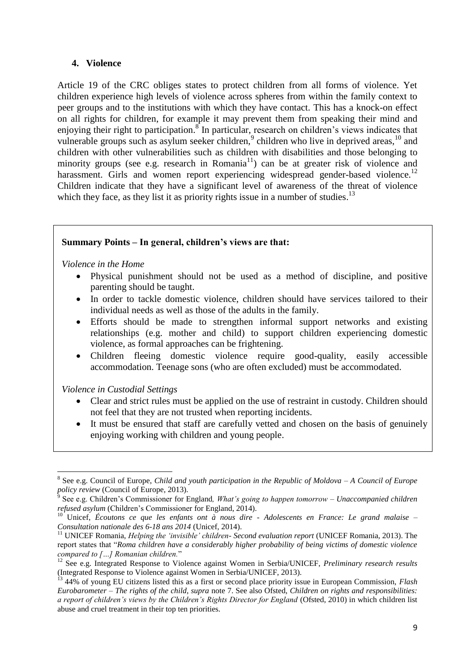#### <span id="page-8-1"></span><span id="page-8-0"></span>**4. Violence**

Article 19 of the CRC obliges states to protect children from all forms of violence. Yet children experience high levels of violence across spheres from within the family context to peer groups and to the institutions with which they have contact. This has a knock-on effect on all rights for children, for example it may prevent them from speaking their mind and enjoying their right to participation.<sup>8</sup> In particular, research on children's views indicates that vulnerable groups such as asylum seeker children,<sup>9</sup> children who live in deprived areas,  $10$  and children with other vulnerabilities such as children with disabilities and those belonging to minority groups (see e.g. research in Romania $11$ ) can be at greater risk of violence and harassment. Girls and women report experiencing widespread gender-based violence.<sup>12</sup> Children indicate that they have a significant level of awareness of the threat of violence which they face, as they list it as priority rights issue in a number of studies.<sup>13</sup>

#### **Summary Points – In general, children's views are that:**

*Violence in the Home* 

- <span id="page-8-2"></span> Physical punishment should not be used as a method of discipline, and positive parenting should be taught.
- In order to tackle domestic violence, children should have services tailored to their individual needs as well as those of the adults in the family.
- Efforts should be made to strengthen informal support networks and existing relationships (e.g. mother and child) to support children experiencing domestic violence, as formal approaches can be frightening.
- Children fleeing domestic violence require good-quality, easily accessible accommodation. Teenage sons (who are often excluded) must be accommodated.

*Violence in Custodial Settings*

- Clear and strict rules must be applied on the use of restraint in custody. Children should not feel that they are not trusted when reporting incidents.
- It must be ensured that staff are carefully vetted and chosen on the basis of genuinely enjoying working with children and young people.

<sup>1</sup> 8 See e.g. Council of Europe, *Child and youth participation in the Republic of Moldova – A Council of Europe policy review* (Council of Europe, 2013). 9 See e.g. Children's Commissioner for England*, What's going to happen tomorrow – Unaccompanied children* 

*refused asylum* (Children's Commissioner for England, 2014).

<sup>10</sup> Unicef, *Écoutons ce que les enfants ont à nous dire - Adolescents en France: Le grand malaise – Consultation nationale des 6-18 ans 2014* (Unicef, 2014).

<sup>11</sup> UNICEF Romania, *Helping the 'invisible' children- Second evaluation report* (UNICEF Romania, 2013). The report states that "*Roma children have a considerably higher probability of being victims of domestic violence compared to […] Romanian children.*"

<sup>&</sup>lt;sup>12</sup> See e.g. Integrated Response to Violence against Women in Serbia/UNICEF, *Preliminary research results* (Integrated Response to Violence against Women in Serbia/UNICEF, 2013).

<sup>13</sup> 44% of young EU citizens listed this as a first or second place priority issue in European Commission, *Flash Eurobarometer – The rights of the child*, *supra* note [7.](#page-7-0) See also Ofsted, *Children on rights and responsibilities: a report of children's views by the Children's Rights Director for England* (Ofsted, 2010) in which children list abuse and cruel treatment in their top ten priorities.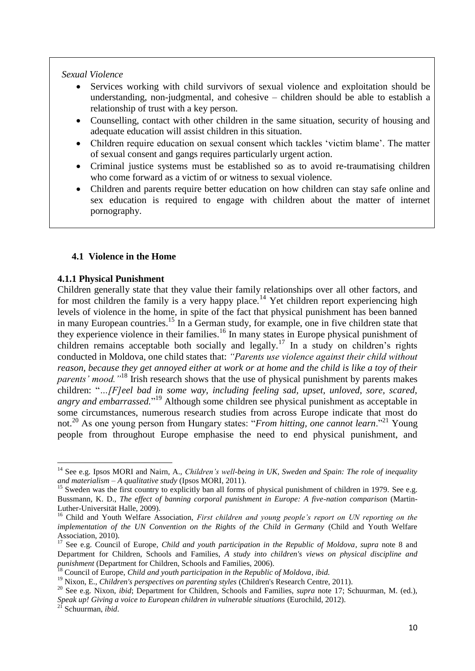#### *Sexual Violence*

- Services working with child survivors of sexual violence and exploitation should be understanding, non-judgmental, and cohesive – children should be able to establish a relationship of trust with a key person.
- Counselling, contact with other children in the same situation, security of housing and adequate education will assist children in this situation.
- Children require education on sexual consent which tackles 'victim blame'. The matter of sexual consent and gangs requires particularly urgent action.
- Criminal justice systems must be established so as to avoid re-traumatising children who come forward as a victim of or witness to sexual violence.
- Children and parents require better education on how children can stay safe online and sex education is required to engage with children about the matter of internet pornography.

#### <span id="page-9-3"></span><span id="page-9-2"></span><span id="page-9-0"></span>**4.1 Violence in the Home**

#### **4.1.1 Physical Punishment**

Children generally state that they value their family relationships over all other factors, and for most children the family is a very happy place.<sup>14</sup> Yet children report experiencing high levels of violence in the home, in spite of the fact that physical punishment has been banned in many European countries.<sup>15</sup> In a German study, for example, one in five children state that they experience violence in their families.<sup>16</sup> In many states in Europe physical punishment of children remains acceptable both socially and legally.<sup>17</sup> In a study on children's rights conducted in Moldova, one child states that: *"Parents use violence against their child without reason, because they get annoyed either at work or at home and the child is like a toy of their parents' mood.*"<sup>18</sup> Irish research shows that the use of physical punishment by parents makes children: "*…[F]eel bad in some way, including feeling sad, upset, unloved, sore, scared, angry and embarrassed.*" <sup>19</sup> Although some children see physical punishment as acceptable in some circumstances, numerous research studies from across Europe indicate that most do not.<sup>20</sup> As one young person from Hungary states: "*From hitting, one cannot learn*."<sup>21</sup> Young people from throughout Europe emphasise the need to end physical punishment, and

<span id="page-9-1"></span><sup>&</sup>lt;sup>14</sup> See e.g. Ipsos MORI and Nairn, A., *Children's well-being in UK, Sweden and Spain: The role of inequality and materialism – A qualitative study* (Ipsos MORI, 2011).

<sup>&</sup>lt;sup>15</sup> Sweden was the first country to explicitly ban all forms of physical punishment of children in 1979. See e.g. Bussmann, K. D., *The effect of banning corporal punishment in Europe: A five-nation comparison* (Martin-Luther-Universität Halle, 2009).

<sup>&</sup>lt;sup>16</sup> Child and Youth Welfare Association, *First children and young people's report on UN reporting on the implementation of the UN Convention on the Rights of the Child in Germany* (Child and Youth Welfare Association, 2010).

<sup>17</sup> See e.g. Council of Europe, *Child and youth participation in the Republic of Moldova*, *supra* note [8](#page-8-1) and Department for Children, Schools and Families, *A study into children's views on physical discipline and punishment* (Department for Children, Schools and Families, 2006).

<sup>18</sup> Council of Europe, *Child and youth participation in the Republic of Moldova*, *ibid.*

<sup>19</sup> Nixon, E., *Children's perspectives on parenting styles* (Children's Research Centre, 2011).

<sup>&</sup>lt;sup>20</sup> See e.g. Nixon, *ibid*; Department for Children, Schools and Families, *supra* note [17;](#page-9-0) Schuurman, M. (ed.), *Speak up! Giving a voice to European children in vulnerable situations* (Eurochild, 2012).

<sup>21</sup> Schuurman, *ibid*.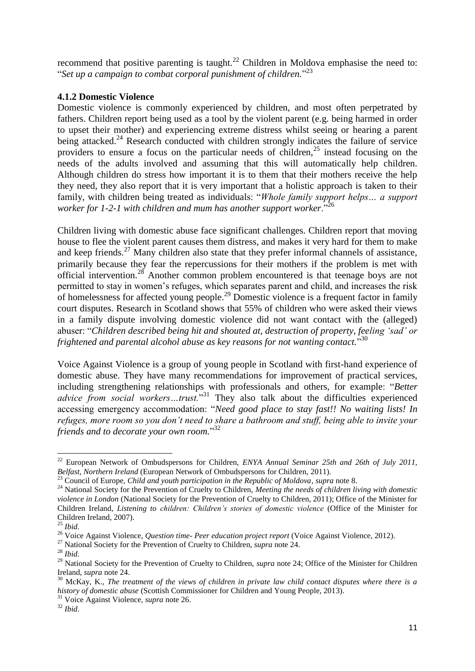<span id="page-10-2"></span>recommend that positive parenting is taught.<sup>22</sup> Children in Moldova emphasise the need to: "*Set up a campaign to combat corporal punishment of children.*" 23

## **4.1.2 Domestic Violence**

<span id="page-10-0"></span>Domestic violence is commonly experienced by children, and most often perpetrated by fathers. Children report being used as a tool by the violent parent (e.g. being harmed in order to upset their mother) and experiencing extreme distress whilst seeing or hearing a parent being attacked.<sup>24</sup> Research conducted with children strongly indicates the failure of service providers to ensure a focus on the particular needs of children,<sup>25</sup> instead focusing on the needs of the adults involved and assuming that this will automatically help children. Although children do stress how important it is to them that their mothers receive the help they need, they also report that it is very important that a holistic approach is taken to their family, with children being treated as individuals: "*Whole family support helps… a support worker for 1-2-1 with children and mum has another support worker*."<sup>26</sup>

<span id="page-10-1"></span>Children living with domestic abuse face significant challenges. Children report that moving house to flee the violent parent causes them distress, and makes it very hard for them to make and keep friends.<sup>27</sup> Many children also state that they prefer informal channels of assistance, primarily because they fear the repercussions for their mothers if the problem is met with official intervention.<sup>28</sup> Another common problem encountered is that teenage boys are not permitted to stay in women's refuges, which separates parent and child, and increases the risk of homelessness for affected young people.<sup>29</sup> Domestic violence is a frequent factor in family court disputes. Research in Scotland shows that 55% of children who were asked their views in a family dispute involving domestic violence did not want contact with the (alleged) abuser: "*Children described being hit and shouted at, destruction of property, feeling 'sad' or frightened and parental alcohol abuse as key reasons for not wanting contact.*" 30

Voice Against Violence is a group of young people in Scotland with first-hand experience of domestic abuse. They have many recommendations for improvement of practical services, including strengthening relationships with professionals and others, for example: "*Better advice from social workers…trust.*" <sup>31</sup> They also talk about the difficulties experienced accessing emergency accommodation: "*Need good place to stay fast!! No waiting lists! In refuges, more room so you don't need to share a bathroom and stuff, being able to invite your friends and to decorate your own room.*" 32

<sup>22</sup> European Network of Ombudspersons for Children, *ENYA Annual Seminar 25th and 26th of July 2011, Belfast, Northern Ireland* (European Network of Ombudspersons for Children, 2011).

<sup>23</sup> Council of Europe, *Child and youth participation in the Republic of Moldova*, *supra* not[e 8.](#page-8-1)

<sup>&</sup>lt;sup>24</sup> National Society for the Prevention of Cruelty to Children, *Meeting the needs of children living with domestic violence in London* (National Society for the Prevention of Cruelty to Children, 2011); Office of the Minister for Children Ireland, *Listening to children: Children's stories of domestic violence* (Office of the Minister for Children Ireland, 2007).

<sup>25</sup> *Ibid*.

<sup>26</sup> Voice Against Violence, *Question time- Peer education project report* (Voice Against Violence, 2012).

<sup>&</sup>lt;sup>27</sup> National Society for the Prevention of Cruelty to Children, *supra* not[e 24.](#page-10-0)

<sup>28</sup> *Ibid*.

<sup>&</sup>lt;sup>29</sup> National Society for the Prevention of Cruelty to Children, *supra* note [24;](#page-10-0) Office of the Minister for Children Ireland, *supra* note [24.](#page-10-0)

<sup>30</sup> McKay, K., *The treatment of the views of children in private law child contact disputes where there is a history of domestic abuse* (Scottish Commissioner for Children and Young People, 2013).

<sup>&</sup>lt;sup>31</sup> Voice Against Violence, *supra* note [26.](#page-10-1)

<sup>32</sup> *Ibid*.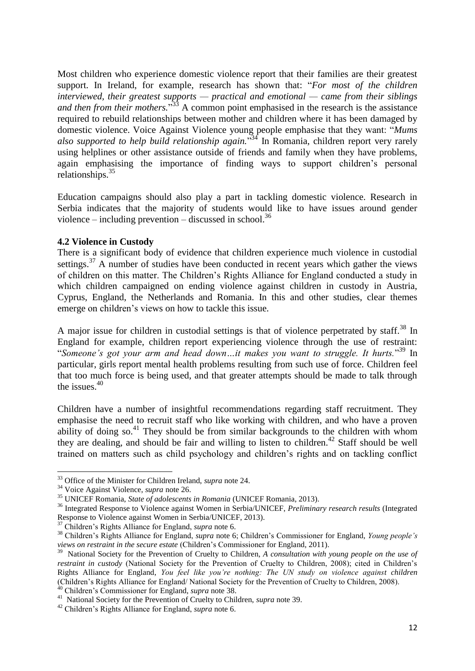Most children who experience domestic violence report that their families are their greatest support. In Ireland, for example, research has shown that: "*For most of the children interviewed, their greatest supports — practical and emotional — came from their siblings*  and then from their mothers.<sup>33</sup> A common point emphasised in the research is the assistance required to rebuild relationships between mother and children where it has been damaged by domestic violence. Voice Against Violence young people emphasise that they want: "*Mums also supported to help build relationship again.*" <sup>34</sup> In Romania, children report very rarely using helplines or other assistance outside of friends and family when they have problems, again emphasising the importance of finding ways to support children's personal relationships.<sup>35</sup>

<span id="page-11-2"></span>Education campaigns should also play a part in tackling domestic violence. Research in Serbia indicates that the majority of students would like to have issues around gender violence – including prevention – discussed in school.<sup>36</sup>

#### **4.2 Violence in Custody**

There is a significant body of evidence that children experience much violence in custodial settings.<sup>37</sup> A number of studies have been conducted in recent years which gather the views of children on this matter. The Children's Rights Alliance for England conducted a study in which children campaigned on ending violence against children in custody in Austria, Cyprus, England, the Netherlands and Romania. In this and other studies, clear themes emerge on children's views on how to tackle this issue.

<span id="page-11-1"></span><span id="page-11-0"></span>A major issue for children in custodial settings is that of violence perpetrated by staff.<sup>38</sup> In England for example, children report experiencing violence through the use of restraint: "*Someone's got your arm and head down…it makes you want to struggle. It hurts.*" <sup>39</sup> In particular, girls report mental health problems resulting from such use of force. Children feel that too much force is being used, and that greater attempts should be made to talk through the issues.<sup>40</sup>

Children have a number of insightful recommendations regarding staff recruitment. They emphasise the need to recruit staff who like working with children, and who have a proven ability of doing so.<sup>41</sup> They should be from similar backgrounds to the children with whom they are dealing, and should be fair and willing to listen to children. <sup>42</sup> Staff should be well trained on matters such as child psychology and children's rights and on tackling conflict

1

<sup>33</sup> Office of the Minister for Children Ireland, *supra* note [24.](#page-10-0)

<sup>34</sup> Voice Against Violence, *supra* note [26.](#page-10-1)

<sup>35</sup> UNICEF Romania, *State of adolescents in Romania* (UNICEF Romania, 2013).

<sup>36</sup> Integrated Response to Violence against Women in Serbia/UNICEF, *Preliminary research results* (Integrated Response to Violence against Women in Serbia/UNICEF, 2013).

<sup>37</sup> Children's Rights Alliance for England, *supra* note [6.](#page-6-0)

<sup>38</sup> Children's Rights Alliance for England, *supra* note [6;](#page-6-0) Children's Commissioner for England, *Young people's views on restraint in the secure estate* (Children's Commissioner for England, 2011).

<sup>&</sup>lt;sup>39</sup> National Society for the Prevention of Cruelty to Children, *A consultation with young people on the use of restraint in custody* (National Society for the Prevention of Cruelty to Children, 2008); cited in Children's Rights Alliance for England, *You feel like you're nothing: The UN study on violence against children* (Children's Rights Alliance for England/ National Society for the Prevention of Cruelty to Children, 2008). <sup>40</sup> Children's Commissioner for England, *supra* note [38.](#page-11-0)

<sup>41</sup> National Society for the Prevention of Cruelty to Children, *supra* note [39.](#page-11-1)

<sup>42</sup> Children's Rights Alliance for England, *supra* note [6.](#page-6-0)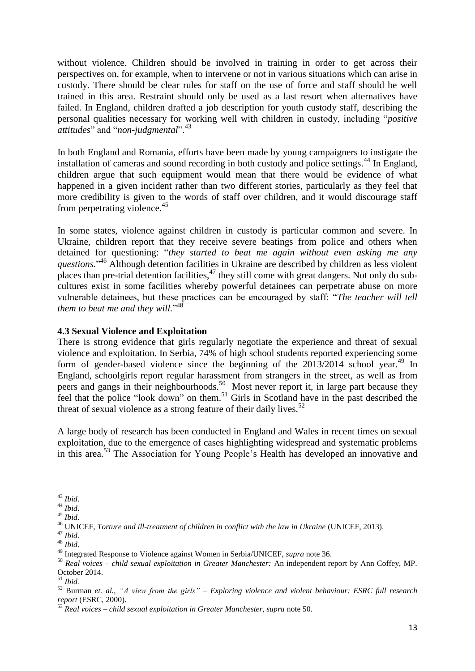without violence. Children should be involved in training in order to get across their perspectives on, for example, when to intervene or not in various situations which can arise in custody. There should be clear rules for staff on the use of force and staff should be well trained in this area. Restraint should only be used as a last resort when alternatives have failed. In England, children drafted a job description for youth custody staff, describing the personal qualities necessary for working well with children in custody, including "*positive attitudes*" and "*non-judgmental*".<sup>43</sup>

In both England and Romania, efforts have been made by young campaigners to instigate the installation of cameras and sound recording in both custody and police settings.<sup>44</sup> In England, children argue that such equipment would mean that there would be evidence of what happened in a given incident rather than two different stories, particularly as they feel that more credibility is given to the words of staff over children, and it would discourage staff from perpetrating violence.<sup>45</sup>

<span id="page-12-1"></span>In some states, violence against children in custody is particular common and severe. In Ukraine, children report that they receive severe beatings from police and others when detained for questioning: "*they started to beat me again without even asking me any*  questions."<sup>46</sup> Although detention facilities in Ukraine are described by children as less violent places than pre-trial detention facilities,  $47$  they still come with great dangers. Not only do subcultures exist in some facilities whereby powerful detainees can perpetrate abuse on more vulnerable detainees, but these practices can be encouraged by staff: "*The teacher will tell them to beat me and they will.*" 48

#### **4.3 Sexual Violence and Exploitation**

There is strong evidence that girls regularly negotiate the experience and threat of sexual violence and exploitation. In Serbia, 74% of high school students reported experiencing some form of gender-based violence since the beginning of the  $2013/2014$  school year.<sup>49</sup> In England, schoolgirls report regular harassment from strangers in the street, as well as from peers and gangs in their neighbourhoods.<sup>50</sup> Most never report it, in large part because they feel that the police "look down" on them.<sup>51</sup> Girls in Scotland have in the past described the threat of sexual violence as a strong feature of their daily lives. $52$ 

<span id="page-12-0"></span>A large body of research has been conducted in England and Wales in recent times on sexual exploitation, due to the emergence of cases highlighting widespread and systematic problems in this area.<sup>53</sup> The Association for Young People's Health has developed an innovative and

 $\overline{a}$ <sup>43</sup> *Ibid*.

<sup>44</sup> *Ibid*.

<sup>45</sup> *Ibid*.

<sup>46</sup> UNICEF, *Torture and ill-treatment of children in conflict with the law in Ukraine* (UNICEF, 2013).

<sup>47</sup> *Ibid*.

<sup>48</sup> *Ibid*.

<sup>49</sup> Integrated Response to Violence against Women in Serbia/UNICEF, *supra* note [36.](#page-11-2)

<sup>50</sup> *Real voices – child sexual exploitation in Greater Manchester:* An independent report by Ann Coffey, MP. October 2014.

<sup>51</sup> *Ibid.*

<sup>52</sup> Burman *et. al.*, *"A view from the girls" – Exploring violence and violent behaviour: ESRC full research report* (ESRC, 2000).

<sup>53</sup> *Real voices – child sexual exploitation in Greater Manchester, supra* note [50.](#page-12-0)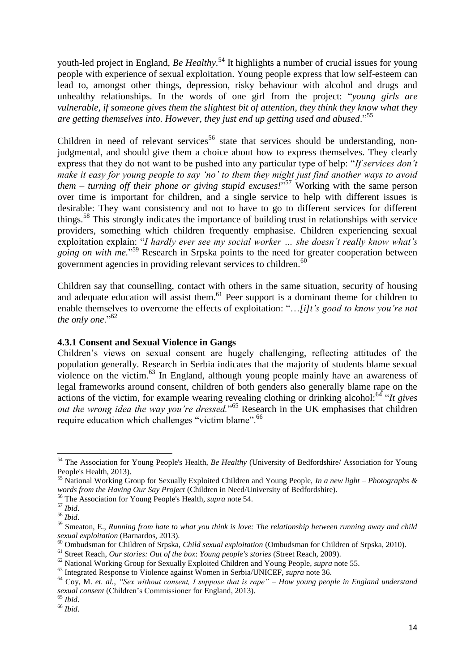<span id="page-13-0"></span>youth-led project in England, *Be Healthy*. <sup>54</sup> It highlights a number of crucial issues for young people with experience of sexual exploitation. Young people express that low self-esteem can lead to, amongst other things, depression, risky behaviour with alcohol and drugs and unhealthy relationships. In the words of one girl from the project: "*young girls are vulnerable, if someone gives them the slightest bit of attention, they think they know what they are getting themselves into. However, they just end up getting used and abused*."<sup>55</sup>

<span id="page-13-1"></span>Children in need of relevant services<sup>56</sup> state that services should be understanding, nonjudgmental, and should give them a choice about how to express themselves. They clearly express that they do not want to be pushed into any particular type of help: "*If services don't make it easy for young people to say 'no' to them they might just find another ways to avoid them – turning off their phone or giving stupid excuses!*" <sup>57</sup> Working with the same person over time is important for children, and a single service to help with different issues is desirable: They want consistency and not to have to go to different services for different things.<sup>58</sup> This strongly indicates the importance of building trust in relationships with service providers, something which children frequently emphasise. Children experiencing sexual exploitation explain: "*I hardly ever see my social worker … she doesn't really know what's going on with me.*" <sup>59</sup> Research in Srpska points to the need for greater cooperation between government agencies in providing relevant services to children.<sup>60</sup>

Children say that counselling, contact with others in the same situation, security of housing and adequate education will assist them.<sup>61</sup> Peer support is a dominant theme for children to enable themselves to overcome the effects of exploitation: "…*[i]t's good to know you're not the only one*."<sup>62</sup>

#### **4.3.1 Consent and Sexual Violence in Gangs**

<span id="page-13-2"></span>Children's views on sexual consent are hugely challenging, reflecting attitudes of the population generally. Research in Serbia indicates that the majority of students blame sexual violence on the victim.<sup>63</sup> In England, although young people mainly have an awareness of legal frameworks around consent, children of both genders also generally blame rape on the actions of the victim, for example wearing revealing clothing or drinking alcohol:<sup>64</sup> "*It gives* out the wrong idea the way you're dressed."<sup>65</sup> Research in the UK emphasises that children require education which challenges "victim blame".<sup>66</sup>

<sup>54</sup> The Association for Young People's Health, *Be Healthy* (University of Bedfordshire/ Association for Young People's Health*,* 2013).

<sup>55</sup> National Working Group for Sexually Exploited Children and Young People, *In a new light – Photographs & words from the Having Our Say Project* (Children in Need/University of Bedfordshire).

<sup>56</sup> The Association for Young People's Health, *supra* not[e 54.](#page-13-0)

<sup>57</sup> *Ibid*.

<sup>58</sup> *Ibid*.

<sup>59</sup> Smeaton, E., *Running from hate to what you think is love: The relationship between running away and child sexual exploitation* (Barnardos, 2013).

<sup>60</sup> Ombudsman for Children of Srpska, *Child sexual exploitation* (Ombudsman for Children of Srpska, 2010).

<sup>61</sup> Street Reach*, Our stories: Out of the box*: *Young people's stories* (Street Reach*,* 2009).

<sup>62</sup> National Working Group for Sexually Exploited Children and Young People, *supra* not[e 55.](#page-13-1)

<sup>63</sup> Integrated Response to Violence against Women in Serbia/UNICEF, *supra* note [36.](#page-11-2)

<sup>64</sup> Coy, M. *et. al.*, *"Sex without consent, I suppose that is rape" – How young people in England understand sexual consent* (Children's Commissioner for England, 2013).

<sup>65</sup> *Ibid*.

<sup>66</sup> *Ibid*.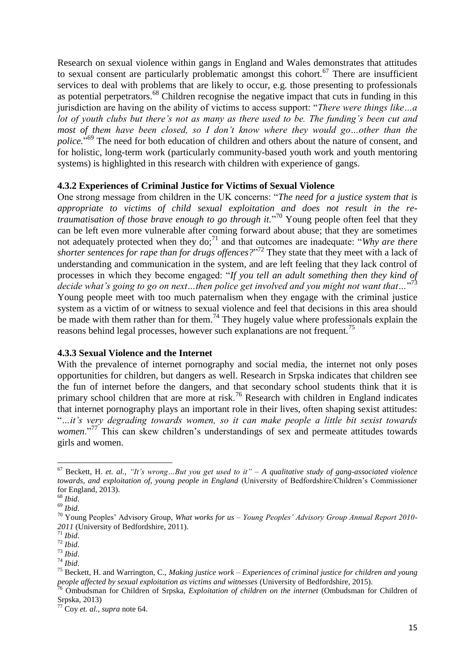<span id="page-14-1"></span>Research on sexual violence within gangs in England and Wales demonstrates that attitudes to sexual consent are particularly problematic amongst this cohort.<sup>67</sup> There are insufficient services to deal with problems that are likely to occur, e.g. those presenting to professionals as potential perpetrators.<sup>68</sup> Children recognise the negative impact that cuts in funding in this jurisdiction are having on the ability of victims to access support: "*There were things like…a lot of youth clubs but there's not as many as there used to be. The funding's been cut and most of them have been closed, so I don't know where they would go...other than the police.*" <sup>69</sup> The need for both education of children and others about the nature of consent, and for holistic, long-term work (particularly community-based youth work and youth mentoring systems) is highlighted in this research with children with experience of gangs.

#### **4.3.2 Experiences of Criminal Justice for Victims of Sexual Violence**

One strong message from children in the UK concerns: "*The need for a justice system that is appropriate to victims of child sexual exploitation and does not result in the retraumatisation of those brave enough to go through it.*" <sup>70</sup> Young people often feel that they can be left even more vulnerable after coming forward about abuse; that they are sometimes not adequately protected when they do;<sup>71</sup> and that outcomes are inadequate: "*Why are there shorter sentences for rape than for drugs offences?*" <sup>72</sup> They state that they meet with a lack of understanding and communication in the system, and are left feeling that they lack control of processes in which they become engaged: "*If you tell an adult something then they kind of decide what's going to go on next…then police get involved and you might not want that…*" 73 Young people meet with too much paternalism when they engage with the criminal justice system as a victim of or witness to sexual violence and feel that decisions in this area should be made with them rather than for them.<sup>74</sup> They hugely value where professionals explain the reasons behind legal processes, however such explanations are not frequent.<sup>75</sup>

#### **4.3.3 Sexual Violence and the Internet**

<span id="page-14-0"></span>With the prevalence of internet pornography and social media, the internet not only poses opportunities for children, but dangers as well. Research in Srpska indicates that children see the fun of internet before the dangers, and that secondary school students think that it is primary school children that are more at risk.<sup>76</sup> Research with children in England indicates that internet pornography plays an important role in their lives, often shaping sexist attitudes: "*…it's very degrading towards women, so it can make people a little bit sexist towards women*."<sup>77</sup> This can skew children's understandings of sex and permeate attitudes towards girls and women.

<sup>67</sup> Beckett, H. *et. al.*, *"It's wrong…But you get used to it" – A qualitative study of gang-associated violence towards, and exploitation of, young people in England* (University of Bedfordshire/Children's Commissioner for England, 2013).

<sup>68</sup> *Ibid*.

<sup>69</sup> *Ibid*.

<sup>70</sup> Young Peoples' Advisory Group, *What works for us – Young Peoples' Advisory Group Annual Report 2010- 2011* (University of Bedfordshire, 2011).

<sup>71</sup> *Ibid*.

<sup>72</sup> *Ibid*.

<sup>73</sup> *Ibid*.

<sup>74</sup> *Ibid*.

<sup>75</sup> Beckett, H. and Warrington, C., *Making justice work – Experiences of criminal justice for children and young people affected by sexual exploitation as victims and witnesses* (University of Bedfordshire, 2015).

<sup>76</sup> Ombudsman for Children of Srpska, *Exploitation of children on the internet* (Ombudsman for Children of Srpska, 2013)

<sup>77</sup> Coy *et. al.*, *supra* not[e 64.](#page-13-2)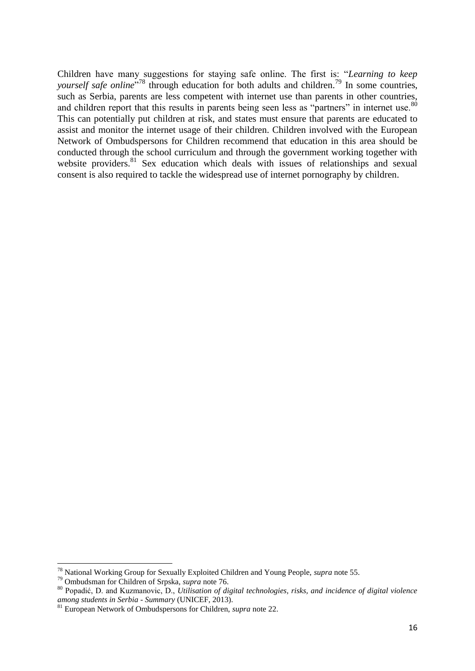Children have many suggestions for staying safe online. The first is: "*Learning to keep*  yourself safe online<sup>778</sup> through education for both adults and children.<sup>79</sup> In some countries, such as Serbia, parents are less competent with internet use than parents in other countries, and children report that this results in parents being seen less as "partners" in internet use.<sup>80</sup> This can potentially put children at risk, and states must ensure that parents are educated to assist and monitor the internet usage of their children. Children involved with the European Network of Ombudspersons for Children recommend that education in this area should be conducted through the school curriculum and through the government working together with website providers.<sup>81</sup> Sex education which deals with issues of relationships and sexual consent is also required to tackle the widespread use of internet pornography by children.

<sup>78</sup> National Working Group for Sexually Exploited Children and Young People, *supra* not[e 55.](#page-13-1)

<sup>79</sup> Ombudsman for Children of Srpska, *supra* note [76.](#page-14-0)

<sup>80</sup> Popadić, D. and Kuzmanovic, D., *Utilisation of digital technologies, risks, and incidence of digital violence among students in Serbia - Summary* (UNICEF, 2013).

<sup>81</sup> European Network of Ombudspersons for Children, *supra* note [22.](#page-10-2)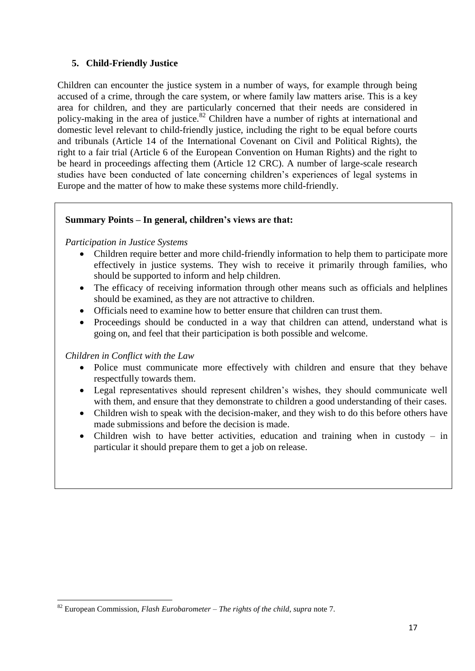## <span id="page-16-0"></span>**5. Child-Friendly Justice**

Children can encounter the justice system in a number of ways, for example through being accused of a crime, through the care system, or where family law matters arise. This is a key area for children, and they are particularly concerned that their needs are considered in policy-making in the area of justice.<sup>82</sup> Children have a number of rights at international and domestic level relevant to child-friendly justice, including the right to be equal before courts and tribunals (Article 14 of the International Covenant on Civil and Political Rights), the right to a fair trial (Article 6 of the European Convention on Human Rights) and the right to be heard in proceedings affecting them (Article 12 CRC). A number of large-scale research studies have been conducted of late concerning children's experiences of legal systems in Europe and the matter of how to make these systems more child-friendly.

## **Summary Points – In general, children's views are that:**

## *Participation in Justice Systems*

- Children require better and more child-friendly information to help them to participate more effectively in justice systems. They wish to receive it primarily through families, who should be supported to inform and help children.
- The efficacy of receiving information through other means such as officials and helplines should be examined, as they are not attractive to children.
- Officials need to examine how to better ensure that children can trust them.
- Proceedings should be conducted in a way that children can attend, understand what is going on, and feel that their participation is both possible and welcome.

## *Children in Conflict with the Law*

- Police must communicate more effectively with children and ensure that they behave respectfully towards them.
- Legal representatives should represent children's wishes, they should communicate well with them, and ensure that they demonstrate to children a good understanding of their cases.
- Children wish to speak with the decision-maker, and they wish to do this before others have made submissions and before the decision is made.
- Children wish to have better activities, education and training when in custody in particular it should prepare them to get a job on release.

**<sup>.</sup>** <sup>82</sup> European Commission, *Flash Eurobarometer – The rights of the child*, *supra* not[e 7.](#page-7-0)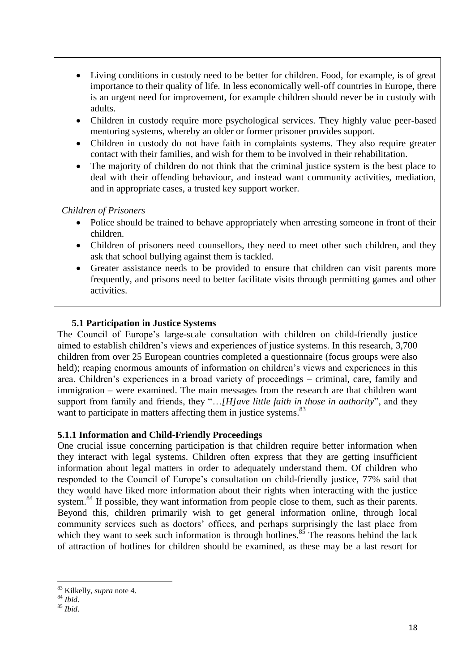- Living conditions in custody need to be better for children. Food, for example, is of great importance to their quality of life. In less economically well-off countries in Europe, there is an urgent need for improvement, for example children should never be in custody with adults.
- Children in custody require more psychological services. They highly value peer-based mentoring systems, whereby an older or former prisoner provides support.
- Children in custody do not have faith in complaints systems. They also require greater contact with their families, and wish for them to be involved in their rehabilitation.
- The majority of children do not think that the criminal justice system is the best place to deal with their offending behaviour, and instead want community activities, mediation, and in appropriate cases, a trusted key support worker.

## *Children of Prisoners*

- Police should be trained to behave appropriately when arresting someone in front of their children.
- Children of prisoners need counsellors, they need to meet other such children, and they ask that school bullying against them is tackled.
- Greater assistance needs to be provided to ensure that children can visit parents more frequently, and prisons need to better facilitate visits through permitting games and other activities.

## **5.1 Participation in Justice Systems**

The Council of Europe's large-scale consultation with children on child-friendly justice aimed to establish children's views and experiences of justice systems. In this research, 3,700 children from over 25 European countries completed a questionnaire (focus groups were also held); reaping enormous amounts of information on children's views and experiences in this area. Children's experiences in a broad variety of proceedings – criminal, care, family and immigration – were examined. The main messages from the research are that children want support from family and friends, they "…*[H]ave little faith in those in authority*", and they want to participate in matters affecting them in justice systems.<sup>83</sup>

## **5.1.1 Information and Child-Friendly Proceedings**

One crucial issue concerning participation is that children require better information when they interact with legal systems. Children often express that they are getting insufficient information about legal matters in order to adequately understand them. Of children who responded to the Council of Europe's consultation on child-friendly justice, 77% said that they would have liked more information about their rights when interacting with the justice system.<sup>84</sup> If possible, they want information from people close to them, such as their parents. Beyond this, children primarily wish to get general information online, through local community services such as doctors' offices, and perhaps surprisingly the last place from which they want to seek such information is through hotlines. $85$  The reasons behind the lack of attraction of hotlines for children should be examined, as these may be a last resort for

<sup>1</sup> <sup>83</sup> Kilkelly, *supra* note [4.](#page-6-1)

<sup>84</sup> *Ibid*.

<sup>85</sup> *Ibid*.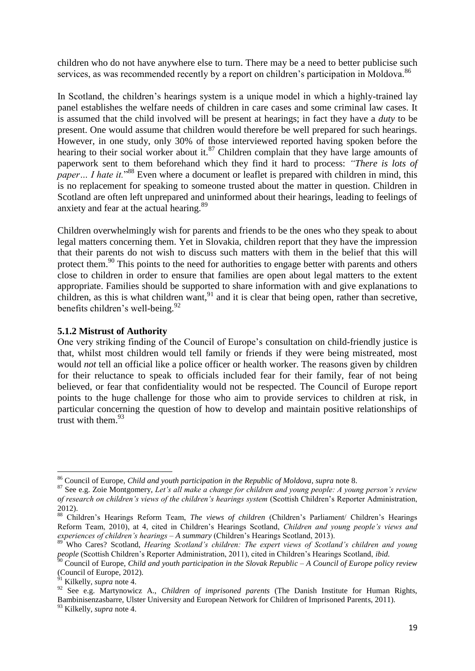children who do not have anywhere else to turn. There may be a need to better publicise such services, as was recommended recently by a report on children's participation in Moldova.<sup>86</sup>

<span id="page-18-0"></span>In Scotland, the children's hearings system is a unique model in which a highly-trained lay panel establishes the welfare needs of children in care cases and some criminal law cases. It is assumed that the child involved will be present at hearings; in fact they have a *duty* to be present. One would assume that children would therefore be well prepared for such hearings. However, in one study, only 30% of those interviewed reported having spoken before the hearing to their social worker about it.<sup>87</sup> Children complain that they have large amounts of paperwork sent to them beforehand which they find it hard to process: *"There is lots of paper* ... *I hate it.*"<sup>88</sup> Even where a document or leaflet is prepared with children in mind, this is no replacement for speaking to someone trusted about the matter in question. Children in Scotland are often left unprepared and uninformed about their hearings, leading to feelings of anxiety and fear at the actual hearing.<sup>89</sup>

<span id="page-18-2"></span><span id="page-18-1"></span>Children overwhelmingly wish for parents and friends to be the ones who they speak to about legal matters concerning them. Yet in Slovakia, children report that they have the impression that their parents do not wish to discuss such matters with them in the belief that this will protect them.<sup>90</sup> This points to the need for authorities to engage better with parents and others close to children in order to ensure that families are open about legal matters to the extent appropriate. Families should be supported to share information with and give explanations to children, as this is what children want,  $91$  and it is clear that being open, rather than secretive, benefits children's well-being.<sup>92</sup>

#### **5.1.2 Mistrust of Authority**

One very striking finding of the Council of Europe's consultation on child-friendly justice is that, whilst most children would tell family or friends if they were being mistreated, most would *not* tell an official like a police officer or health worker. The reasons given by children for their reluctance to speak to officials included fear for their family, fear of not being believed, or fear that confidentiality would not be respected. The Council of Europe report points to the huge challenge for those who aim to provide services to children at risk, in particular concerning the question of how to develop and maintain positive relationships of trust with them. $93$ 

1

<sup>86</sup> Council of Europe, *Child and youth participation in the Republic of Moldova*, *supra* not[e 8.](#page-8-1)

<sup>87</sup> See e.g. Zoie Montgomery, *Let's all make a change for children and young people: A young person's review of research on children's views of the children's hearings system* (Scottish Children's Reporter Administration, 2012).

<sup>88</sup> Children's Hearings Reform Team, *The views of children* (Children's Parliament/ Children's Hearings Reform Team, 2010), at 4, cited in Children's Hearings Scotland, *Children and young people's views and experiences of children's hearings – A summary* (Children's Hearings Scotland, 2013).

<sup>89</sup> Who Cares? Scotland, *Hearing Scotland's children: The expert views of Scotland's children and young people* (Scottish Children's Reporter Administration, 2011), cited in Children's Hearings Scotland, *ibid.*

<sup>90</sup> Council of Europe, *Child and youth participation in the Slovak Republic – A Council of Europe policy review* (Council of Europe, 2012).

<sup>91</sup> Kilkelly, *supra* note [4.](#page-6-1)

<sup>&</sup>lt;sup>92</sup> See e.g. Martynowicz A., *Children of imprisoned parents* (The Danish Institute for Human Rights, Bambinisenzasbarre, Ulster University and European Network for Children of Imprisoned Parents, 2011).

<sup>93</sup> Kilkelly, *supra* note [4.](#page-6-1)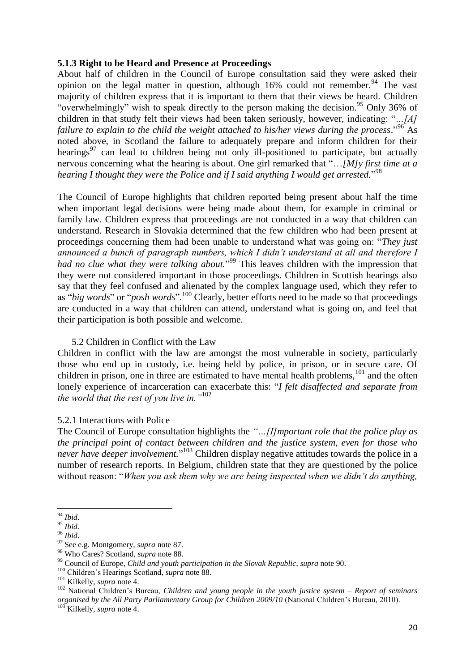#### **5.1.3 Right to be Heard and Presence at Proceedings**

About half of children in the Council of Europe consultation said they were asked their opinion on the legal matter in question, although  $16\%$  could not remember.<sup>94</sup> The vast majority of children express that it is important to them that their views be heard. Children "overwhelmingly" wish to speak directly to the person making the decision.<sup>95</sup> Only 36% of children in that study felt their views had been taken seriously, however, indicating: "*…[A]*  failure to explain to the child the weight attached to his/her views during the process."<sup>96</sup> As noted above, in Scotland the failure to adequately prepare and inform children for their hearings $97$  can lead to children being not only ill-positioned to participate, but actually nervous concerning what the hearing is about. One girl remarked that "…*[M]y first time at a*  hearing I thought they were the Police and if I said anything I would get arrested."<sup>98</sup>

The Council of Europe highlights that children reported being present about half the time when important legal decisions were being made about them, for example in criminal or family law. Children express that proceedings are not conducted in a way that children can understand. Research in Slovakia determined that the few children who had been present at proceedings concerning them had been unable to understand what was going on: "*They just announced a bunch of paragraph numbers, which I didn't understand at all and therefore I*  had no clue what they were talking about."<sup>99</sup> This leaves children with the impression that they were not considered important in those proceedings. Children in Scottish hearings also say that they feel confused and alienated by the complex language used, which they refer to as "*big words*" or "*posh words*".<sup>100</sup> Clearly, better efforts need to be made so that proceedings are conducted in a way that children can attend, understand what is going on, and feel that their participation is both possible and welcome.

#### <span id="page-19-0"></span>5.2 Children in Conflict with the Law

Children in conflict with the law are amongst the most vulnerable in society, particularly those who end up in custody, i.e. being held by police, in prison, or in secure care. Of children in prison, one in three are estimated to have mental health problems, $101$  and the often lonely experience of incarceration can exacerbate this: "*I felt disaffected and separate from the world that the rest of you live in."*<sup>102</sup>

#### 5.2.1 Interactions with Police

The Council of Europe consultation highlights the *"…[I]mportant role that the police play as the principal point of contact between children and the justice system, even for those who never have deeper involvement.*" <sup>103</sup> Children display negative attitudes towards the police in a number of research reports. In Belgium, children state that they are questioned by the police without reason: "*When you ask them why we are being inspected when we didn't do anything,* 

**<sup>.</sup>** <sup>94</sup> *Ibid*.

<sup>95</sup> *Ibid*.

<sup>96</sup> *Ibid*.

<sup>97</sup> See e.g. Montgomery, *supra* note [87.](#page-18-0)

<sup>98</sup> Who Cares? Scotland, *supra* not[e 88.](#page-18-1)

<sup>99</sup> Council of Europe, *Child and youth participation in the Slovak Republic*, *supra* note [90.](#page-18-2)

<sup>100</sup> Children's Hearings Scotland, *supra* not[e 88.](#page-18-1)

<sup>101</sup> Kilkelly, *supra* note [4.](#page-6-1)

<sup>102</sup> National Children's Bureau, *Children and young people in the youth justice system – Report of seminars organised by the All Party Parliamentary Group for Children 2009/10* (National Children's Bureau, 2010).

<sup>103</sup> Kilkelly, *supra* note [4.](#page-6-1)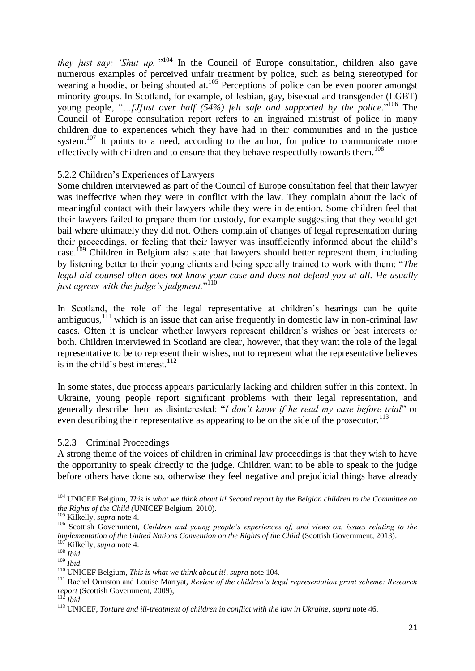<span id="page-20-0"></span>*they just say: 'Shut up.*  $n^{104}$  In the Council of Europe consultation, children also gave numerous examples of perceived unfair treatment by police, such as being stereotyped for wearing a hoodie, or being shouted at.<sup>105</sup> Perceptions of police can be even poorer amongst minority groups. In Scotland, for example, of lesbian, gay, bisexual and transgender (LGBT) young people, "*...*[*J]ust over half (54%) felt safe and supported by the police*."<sup>106</sup> The Council of Europe consultation report refers to an ingrained mistrust of police in many children due to experiences which they have had in their communities and in the justice system.<sup>107</sup> It points to a need, according to the author, for police to communicate more effectively with children and to ensure that they behave respectfully towards them.<sup>108</sup>

#### 5.2.2 Children's Experiences of Lawyers

Some children interviewed as part of the Council of Europe consultation feel that their lawyer was ineffective when they were in conflict with the law. They complain about the lack of meaningful contact with their lawyers while they were in detention. Some children feel that their lawyers failed to prepare them for custody, for example suggesting that they would get bail where ultimately they did not. Others complain of changes of legal representation during their proceedings, or feeling that their lawyer was insufficiently informed about the child's case.<sup>109</sup> Children in Belgium also state that lawyers should better represent them, including by listening better to their young clients and being specially trained to work with them: "*The legal aid counsel often does not know your case and does not defend you at all. He usually*  just agrees with the judge's judgment."<sup>110</sup>

In Scotland, the role of the legal representative at children's hearings can be quite ambiguous, $^{111}$  which is an issue that can arise frequently in domestic law in non-criminal law cases. Often it is unclear whether lawyers represent children's wishes or best interests or both. Children interviewed in Scotland are clear, however, that they want the role of the legal representative to be to represent their wishes, not to represent what the representative believes is in the child's best interest.<sup>112</sup>

In some states, due process appears particularly lacking and children suffer in this context. In Ukraine, young people report significant problems with their legal representation, and generally describe them as disinterested: "*I don't know if he read my case before trial*" or even describing their representative as appearing to be on the side of the prosecutor.<sup>113</sup>

#### 5.2.3 Criminal Proceedings

A strong theme of the voices of children in criminal law proceedings is that they wish to have the opportunity to speak directly to the judge. Children want to be able to speak to the judge before others have done so, otherwise they feel negative and prejudicial things have already

 $\overline{a}$ 

<sup>104</sup> UNICEF Belgium, *This is what we think about it! Second report by the Belgian children to the Committee on the Rights of the Child (*UNICEF Belgium, 2010).

<sup>105</sup> Kilkelly, *supra* note [4.](#page-6-1)

<sup>106</sup> Scottish Government, *Children and young people's experiences of, and views on, issues relating to the implementation of the United Nations Convention on the Rights of the Child* (Scottish Government, 2013). <sup>107</sup> Kilkelly, *supra* note [4.](#page-6-1)

<sup>108</sup> *Ibid*.

<sup>109</sup> *Ibid*.

<sup>110</sup> UNICEF Belgium, *This is what we think about it!*, *supra* note [104.](#page-20-0)

<sup>&</sup>lt;sup>111</sup> Rachel Ormston and Louise Marryat, *Review of the children's legal representation grant scheme: Research report* (Scottish Government, 2009),

<sup>112</sup> *Ibid*

<sup>113</sup> UNICEF, *Torture and ill-treatment of children in conflict with the law in Ukraine*, *supra* not[e 46.](#page-12-1)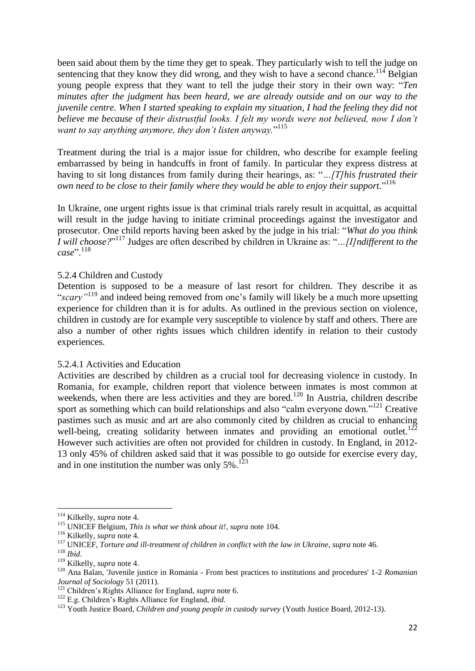been said about them by the time they get to speak. They particularly wish to tell the judge on sentencing that they know they did wrong, and they wish to have a second chance.<sup>114</sup> Belgian young people express that they want to tell the judge their story in their own way: "*Ten minutes after the judgment has been heard, we are already outside and on our way to the juvenile centre. When I started speaking to explain my situation, I had the feeling they did not believe me because of their distrustful looks. I felt my words were not believed, now I don't want to say anything anymore, they don't listen anyway.*" 115

Treatment during the trial is a major issue for children, who describe for example feeling embarrassed by being in handcuffs in front of family. In particular they express distress at having to sit long distances from family during their hearings, as: "*…[T]his frustrated their own need to be close to their family where they would be able to enjoy their support.*" 116

In Ukraine, one urgent rights issue is that criminal trials rarely result in acquittal, as acquittal will result in the judge having to initiate criminal proceedings against the investigator and prosecutor. One child reports having been asked by the judge in his trial: "*What do you think I will choose?*" <sup>117</sup> Judges are often described by children in Ukraine as: "*…[I]ndifferent to the case*".<sup>118</sup>

#### 5.2.4 Children and Custody

Detention is supposed to be a measure of last resort for children. They describe it as "*scary"*<sup>119</sup> and indeed being removed from one's family will likely be a much more upsetting experience for children than it is for adults. As outlined in the previous section on violence, children in custody are for example very susceptible to violence by staff and others. There are also a number of other rights issues which children identify in relation to their custody experiences.

#### 5.2.4.1 Activities and Education

<span id="page-21-0"></span>Activities are described by children as a crucial tool for decreasing violence in custody. In Romania, for example, children report that violence between inmates is most common at weekends, when there are less activities and they are bored.<sup>120</sup> In Austria, children describe sport as something which can build relationships and also "calm everyone down."<sup>121</sup> Creative pastimes such as music and art are also commonly cited by children as crucial to enhancing well-being, creating solidarity between inmates and providing an emotional outlet.<sup>122</sup> However such activities are often not provided for children in custody. In England, in 2012- 13 only 45% of children asked said that it was possible to go outside for exercise every day, and in one institution the number was only  $5\%$ .<sup>123</sup>

<sup>114</sup> Kilkelly, *supra* note [4.](#page-6-1)

<sup>115</sup> UNICEF Belgium, *This is what we think about it!*, *supra* note [104.](#page-20-0)

<sup>116</sup> Kilkelly, *supra* note [4.](#page-6-1)

<sup>117</sup> UNICEF, *Torture and ill-treatment of children in conflict with the law in Ukraine*, *supra* not[e 46.](#page-12-1)

<sup>118</sup> *Ibid*.

<sup>119</sup> Kilkelly, *supra* note [4.](#page-6-1)

<sup>120</sup> Ana Balan, 'Juvenile justice in Romania - From best practices to institutions and procedures' 1-2 *Romanian Journal of Sociology* 51 (2011).

<sup>121</sup> Children's Rights Alliance for England, *supra* note [6.](#page-6-0)

<sup>122</sup> E.g. Children's Rights Alliance for England, *ibid.*

<sup>&</sup>lt;sup>123</sup> Youth Justice Board, *Children and young people in custody survey* (Youth Justice Board, 2012-13).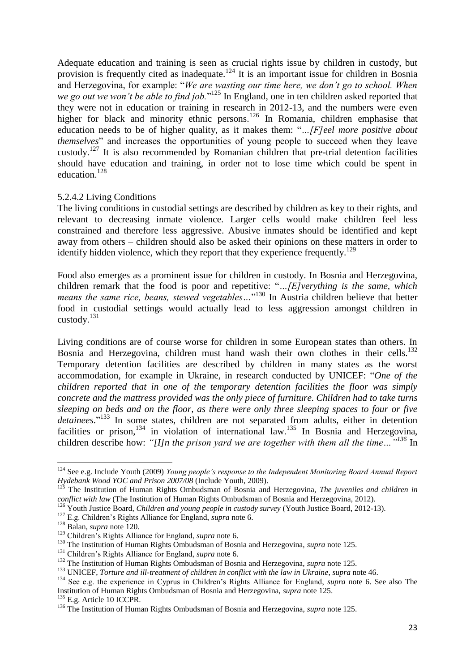<span id="page-22-1"></span><span id="page-22-0"></span>Adequate education and training is seen as crucial rights issue by children in custody, but provision is frequently cited as inadequate.<sup>124</sup> It is an important issue for children in Bosnia and Herzegovina, for example: "*We are wasting our time here, we don't go to school. When we go out we won't be able to find job.*" <sup>125</sup> In England, one in ten children asked reported that they were not in education or training in research in 2012-13, and the numbers were even higher for black and minority ethnic persons.<sup>126</sup> In Romania, children emphasise that education needs to be of higher quality, as it makes them: "*…[F]eel more positive about themselves*" and increases the opportunities of young people to succeed when they leave custody.<sup>127</sup> It is also recommended by Romanian children that pre-trial detention facilities should have education and training, in order not to lose time which could be spent in education.<sup>128</sup>

#### 5.2.4.2 Living Conditions

The living conditions in custodial settings are described by children as key to their rights, and relevant to decreasing inmate violence. Larger cells would make children feel less constrained and therefore less aggressive. Abusive inmates should be identified and kept away from others – children should also be asked their opinions on these matters in order to identify hidden violence, which they report that they experience frequently.<sup>129</sup>

Food also emerges as a prominent issue for children in custody. In Bosnia and Herzegovina, children remark that the food is poor and repetitive: "*…[E]verything is the same, which means the same rice, beans, stewed vegetables…*" <sup>130</sup> In Austria children believe that better food in custodial settings would actually lead to less aggression amongst children in custody. 131

Living conditions are of course worse for children in some European states than others. In Bosnia and Herzegovina, children must hand wash their own clothes in their cells.<sup>132</sup> Temporary detention facilities are described by children in many states as the worst accommodation, for example in Ukraine, in research conducted by UNICEF: "*One of the children reported that in one of the temporary detention facilities the floor was simply concrete and the mattress provided was the only piece of furniture. Children had to take turns sleeping on beds and on the floor, as there were only three sleeping spaces to four or five detainees*." <sup>133</sup> In some states, children are not separated from adults, either in detention facilities or prison,<sup>134</sup> in violation of international law.<sup>135</sup> In Bosnia and Herzegovina, children describe how: *"[I]n the prison yard we are together with them all the time…"<sup>136</sup>* In

<sup>124</sup> See e.g. Include Youth (2009) *Young people's response to the Independent Monitoring Board Annual Report Hydebank Wood YOC and Prison 2007/08* (Include Youth, 2009).

<sup>125</sup> The Institution of Human Rights Ombudsman of Bosnia and Herzegovina, *The juveniles and children in conflict with law* (The Institution of Human Rights Ombudsman of Bosnia and Herzegovina, 2012).

<sup>126</sup> Youth Justice Board, *Children and young people in custody survey* (Youth Justice Board, 2012-13).

<sup>127</sup> E.g. Children's Rights Alliance for England, *supra* note [6.](#page-6-0)

<sup>128</sup> Balan, *supra* not[e 120.](#page-21-0)

<sup>129</sup> Children's Rights Alliance for England, *supra* note [6.](#page-6-0)

<sup>130</sup> The Institution of Human Rights Ombudsman of Bosnia and Herzegovina, *supra* note [125.](#page-22-0)

<sup>131</sup> Children's Rights Alliance for England, *supra* note [6.](#page-6-0)

<sup>132</sup> The Institution of Human Rights Ombudsman of Bosnia and Herzegovina, *supra* note [125.](#page-22-0)

<sup>133</sup> UNICEF, *Torture and ill-treatment of children in conflict with the law in Ukraine*, *supra* not[e 46.](#page-12-1)

<sup>&</sup>lt;sup>134</sup> See e.g. the experience in Cyprus in Children's Rights Alliance for England, *supra* note [6.](#page-6-0) See also The Institution of Human Rights Ombudsman of Bosnia and Herzegovina, *supra* not[e 125.](#page-22-0)

<sup>&</sup>lt;sup>135</sup> E.g. Article 10 ICCPR.

<sup>136</sup> The Institution of Human Rights Ombudsman of Bosnia and Herzegovina, *supra* note [125.](#page-22-0)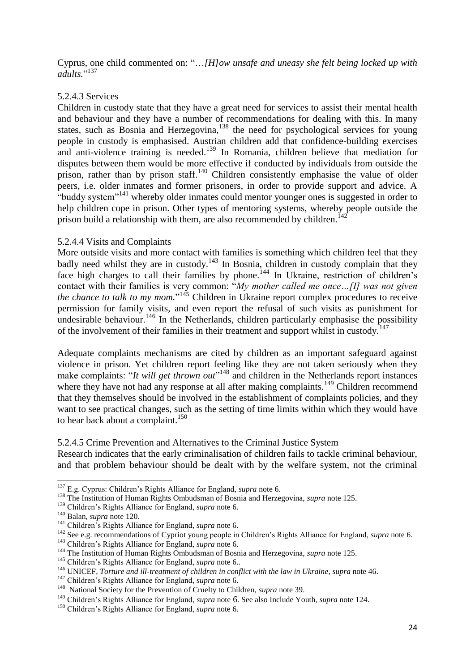Cyprus, one child commented on: "…*[H]ow unsafe and uneasy she felt being locked up with*  adults."<sup>137</sup>

#### 5.2.4.3 Services

Children in custody state that they have a great need for services to assist their mental health and behaviour and they have a number of recommendations for dealing with this. In many states, such as Bosnia and Herzegovina,<sup>138</sup> the need for psychological services for young people in custody is emphasised. Austrian children add that confidence-building exercises and anti-violence training is needed.<sup>139</sup> In Romania, children believe that mediation for disputes between them would be more effective if conducted by individuals from outside the prison, rather than by prison staff.<sup>140</sup> Children consistently emphasise the value of older peers, i.e. older inmates and former prisoners, in order to provide support and advice. A "buddy system"<sup>141</sup> whereby older inmates could mentor younger ones is suggested in order to help children cope in prison. Other types of mentoring systems, whereby people outside the prison build a relationship with them, are also recommended by children.<sup>142</sup>

#### 5.2.4.4 Visits and Complaints

More outside visits and more contact with families is something which children feel that they badly need whilst they are in custody.<sup>143</sup> In Bosnia, children in custody complain that they face high charges to call their families by phone.<sup>144</sup> In Ukraine, restriction of children's contact with their families is very common: "*My mother called me once…[I] was not given*  the chance to talk to my mom."<sup>145</sup> Children in Ukraine report complex procedures to receive permission for family visits, and even report the refusal of such visits as punishment for undesirable behaviour.<sup>146</sup> In the Netherlands, children particularly emphasise the possibility of the involvement of their families in their treatment and support whilst in custody.<sup>147</sup>

Adequate complaints mechanisms are cited by children as an important safeguard against violence in prison. Yet children report feeling like they are not taken seriously when they make complaints: "*It will get thrown out*"<sup>148</sup> and children in the Netherlands report instances where they have not had any response at all after making complaints.<sup>149</sup> Children recommend that they themselves should be involved in the establishment of complaints policies, and they want to see practical changes, such as the setting of time limits within which they would have to hear back about a complaint.<sup>150</sup>

#### 5.2.4.5 Crime Prevention and Alternatives to the Criminal Justice System

Research indicates that the early criminalisation of children fails to tackle criminal behaviour, and that problem behaviour should be dealt with by the welfare system, not the criminal

**<sup>.</sup>** <sup>137</sup> E.g. Cyprus: Children's Rights Alliance for England, *supra* note [6.](#page-6-0)

<sup>&</sup>lt;sup>138</sup> The Institution of Human Rights Ombudsman of Bosnia and Herzegovina, *supra* note [125.](#page-22-0)

<sup>139</sup> Children's Rights Alliance for England, *supra* note [6.](#page-6-0)

<sup>140</sup> Balan, *supra* not[e 120.](#page-21-0)

<sup>141</sup> Children's Rights Alliance for England, *supra* note [6.](#page-6-0)

<sup>&</sup>lt;sup>142</sup> See e.g. recommendations of Cypriot young people in Children's Rights Alliance for England, *supra* note [6.](#page-6-0)

<sup>143</sup> Children's Rights Alliance for England, *supra* note [6.](#page-6-0)

<sup>&</sup>lt;sup>144</sup> The Institution of Human Rights Ombudsman of Bosnia and Herzegovina, *supra* note [125.](#page-22-0)

<sup>145</sup> Children's Rights Alliance for England, *supra* note [6.](#page-6-0).

<sup>146</sup> UNICEF, *Torture and ill-treatment of children in conflict with the law in Ukraine*, *supra* not[e 46.](#page-12-1)

<sup>147</sup> Children's Rights Alliance for England, *supra* note [6.](#page-6-0)

<sup>&</sup>lt;sup>148</sup> National Society for the Prevention of Cruelty to Children, *supra* not[e 39.](#page-11-1)

<sup>149</sup> Children's Rights Alliance for England, *supra* note [6](#page-6-0). See also Include Youth, *supra* note [124.](#page-22-1)

<sup>150</sup> Children's Rights Alliance for England, *supra* note [6.](#page-6-0)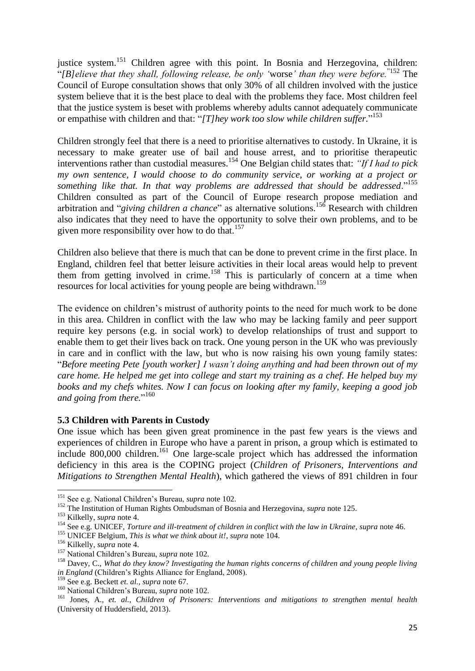justice system.<sup>151</sup> Children agree with this point. In Bosnia and Herzegovina, children: "*[B]elieve that they shall, following release, be only '*worse*' than they were before.*"152 The Council of Europe consultation shows that only 30% of all children involved with the justice system believe that it is the best place to deal with the problems they face. Most children feel that the justice system is beset with problems whereby adults cannot adequately communicate or empathise with children and that: "*[T]hey work too slow while children suffer.*" 153

Children strongly feel that there is a need to prioritise alternatives to custody. In Ukraine, it is necessary to make greater use of bail and house arrest, and to prioritise therapeutic interventions rather than custodial measures.<sup>154</sup> One Belgian child states that: *"If I had to pick my own sentence, I would choose to do community service, or working at a project or something like that. In that way problems are addressed that should be addressed*."<sup>155</sup> Children consulted as part of the Council of Europe research propose mediation and arbitration and "*giving children a chance*" as alternative solutions.<sup>156</sup> Research with children also indicates that they need to have the opportunity to solve their own problems, and to be given more responsibility over how to do that.<sup>157</sup>

Children also believe that there is much that can be done to prevent crime in the first place. In England, children feel that better leisure activities in their local areas would help to prevent them from getting involved in crime.<sup>158</sup> This is particularly of concern at a time when resources for local activities for young people are being withdrawn.<sup>159</sup>

The evidence on children's mistrust of authority points to the need for much work to be done in this area. Children in conflict with the law who may be lacking family and peer support require key persons (e.g. in social work) to develop relationships of trust and support to enable them to get their lives back on track. One young person in the UK who was previously in care and in conflict with the law, but who is now raising his own young family states: "*Before meeting Pete [youth worker] I wasn't doing anything and had been thrown out of my care home. He helped me get into college and start my training as a chef. He helped buy my books and my chefs whites. Now I can focus on looking after my family, keeping a good job and going from there.*" 160

#### **5.3 Children with Parents in Custody**

<span id="page-24-0"></span>One issue which has been given great prominence in the past few years is the views and experiences of children in Europe who have a parent in prison, a group which is estimated to include 800,000 children.<sup>161</sup> One large-scale project which has addressed the information deficiency in this area is the COPING project (*Children of Prisoners, Interventions and Mitigations to Strengthen Mental Health*), which gathered the views of 891 children in four

 $\overline{a}$ 

<sup>151</sup> See e.g. National Children's Bureau, *supra* not[e 102.](#page-19-0)

<sup>&</sup>lt;sup>152</sup> The Institution of Human Rights Ombudsman of Bosnia and Herzegovina, *supra* note [125.](#page-22-0)

<sup>153</sup> Kilkelly, *supra* note [4.](#page-6-1)

<sup>154</sup> See e.g. UNICEF, *Torture and ill-treatment of children in conflict with the law in Ukraine*, *supra* not[e 46.](#page-12-1)

<sup>155</sup> UNICEF Belgium, *This is what we think about it!*, *supra* note [104.](#page-20-0)

<sup>156</sup> Kilkelly, *supra* note [4.](#page-6-1)

<sup>157</sup> National Children's Bureau, *supra* note [102.](#page-19-0)

<sup>158</sup> Davey, C., *What do they know? Investigating the human rights concerns of children and young people living in England* (Children's Rights Alliance for England, 2008).

<sup>159</sup> See e.g. Beckett *et. al.*, *supra* not[e 67.](#page-14-1)

<sup>160</sup> National Children's Bureau, *supra* note [102.](#page-19-0)

<sup>161</sup> Jones, A., *et. al.*, *Children of Prisoners: Interventions and mitigations to strengthen mental health* (University of Huddersfield, 2013).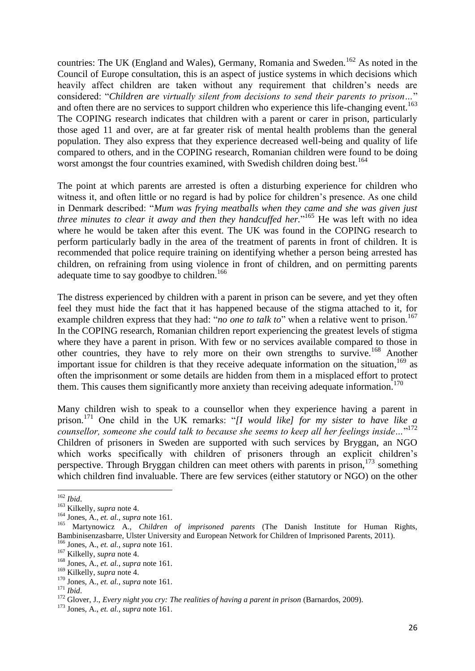countries: The UK (England and Wales), Germany, Romania and Sweden.<sup>162</sup> As noted in the Council of Europe consultation, this is an aspect of justice systems in which decisions which heavily affect children are taken without any requirement that children's needs are considered: "*Children are virtually silent from decisions to send their parents to prison…*" and often there are no services to support children who experience this life-changing event.<sup>163</sup> The COPING research indicates that children with a parent or carer in prison, particularly those aged 11 and over, are at far greater risk of mental health problems than the general population. They also express that they experience decreased well-being and quality of life compared to others, and in the COPING research, Romanian children were found to be doing worst amongst the four countries examined, with Swedish children doing best.<sup>164</sup>

<span id="page-25-1"></span>The point at which parents are arrested is often a disturbing experience for children who witness it, and often little or no regard is had by police for children's presence. As one child in Denmark described: "*Mum was frying meatballs when they came and she was given just three minutes to clear it away and then they handcuffed her.*" <sup>165</sup> He was left with no idea where he would be taken after this event. The UK was found in the COPING research to perform particularly badly in the area of the treatment of parents in front of children. It is recommended that police require training on identifying whether a person being arrested has children, on refraining from using violence in front of children, and on permitting parents adequate time to say goodbye to children.<sup>166</sup>

The distress experienced by children with a parent in prison can be severe, and yet they often feel they must hide the fact that it has happened because of the stigma attached to it, for example children express that they had: "*no one to talk to*" when a relative went to prison.<sup>167</sup> In the COPING research, Romanian children report experiencing the greatest levels of stigma where they have a parent in prison. With few or no services available compared to those in other countries, they have to rely more on their own strengths to survive.<sup>168</sup> Another important issue for children is that they receive adequate information on the situation, <sup>169</sup> as often the imprisonment or some details are hidden from them in a misplaced effort to protect them. This causes them significantly more anxiety than receiving adequate information.<sup>170</sup>

<span id="page-25-0"></span>Many children wish to speak to a counsellor when they experience having a parent in prison.<sup>171</sup> One child in the UK remarks: "*[I would like] for my sister to have like a counsellor, someone she could talk to because she seems to keep all her feelings inside…*" 172 Children of prisoners in Sweden are supported with such services by Bryggan, an NGO which works specifically with children of prisoners through an explicit children's perspective. Through Bryggan children can meet others with parents in prison, $173$  something which children find invaluable. There are few services (either statutory or NGO) on the other

 $\overline{a}$ <sup>162</sup> *Ibid*.

<sup>163</sup> Kilkelly, *supra* note [4.](#page-6-1)

<sup>164</sup> Jones, A., *et. al.*, *supra* not[e 161.](#page-24-0)

<sup>165</sup> Martynowicz A., *Children of imprisoned parents* (The Danish Institute for Human Rights, Bambinisenzasbarre, Ulster University and European Network for Children of Imprisoned Parents, 2011).

<sup>166</sup> Jones, A., *et. al.*, *supra* not[e 161.](#page-24-0)

<sup>167</sup> Kilkelly, *supra* note [4.](#page-6-1)

<sup>168</sup> Jones, A., *et. al.*, *supra* not[e 161.](#page-24-0)

<sup>169</sup> Kilkelly, *supra* note [4.](#page-6-1)

<sup>170</sup> Jones, A., *et. al.*, *supra* not[e 161.](#page-24-0)

<sup>171</sup> *Ibid*.

<sup>172</sup> Glover, J., *Every night you cry: The realities of having a parent in prison* (Barnardos, 2009).

<sup>173</sup> Jones, A., *et. al.*, *supra* not[e 161.](#page-24-0)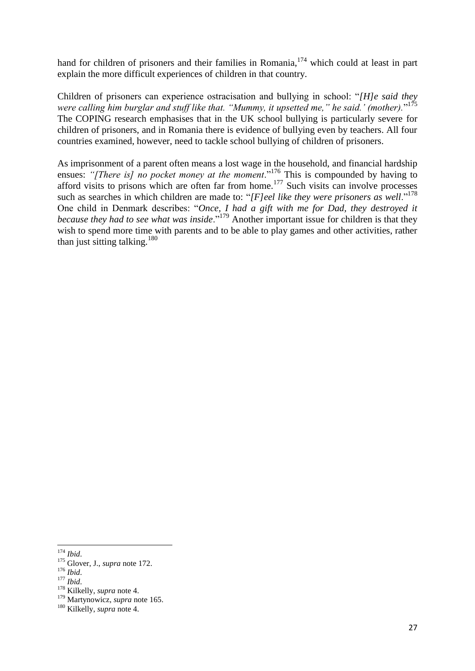hand for children of prisoners and their families in Romania,<sup>174</sup> which could at least in part explain the more difficult experiences of children in that country.

Children of prisoners can experience ostracisation and bullying in school: "*[H]e said they were calling him burglar and stuff like that. "Mummy, it upsetted me," he said.' (mother).*" 175 The COPING research emphasises that in the UK school bullying is particularly severe for children of prisoners, and in Romania there is evidence of bullying even by teachers. All four countries examined, however, need to tackle school bullying of children of prisoners.

As imprisonment of a parent often means a lost wage in the household, and financial hardship ensues: "[There is] no pocket money at the moment."<sup>176</sup> This is compounded by having to afford visits to prisons which are often far from home.<sup>177</sup> Such visits can involve processes such as searches in which children are made to: "[F]eel like they were prisoners as well."<sup>178</sup> One child in Denmark describes: "*Once, I had a gift with me for Dad, they destroyed it because they had to see what was inside*."<sup>179</sup> Another important issue for children is that they wish to spend more time with parents and to be able to play games and other activities, rather than just sitting talking. $180$ 

**<sup>.</sup>** <sup>174</sup> *Ibid*.

<sup>175</sup> Glover, J., *supra* not[e 172.](#page-25-0)

<sup>176</sup> *Ibid*.

<sup>177</sup> *Ibid*.

<sup>178</sup> Kilkelly, *supra* note [4.](#page-6-1)

<sup>179</sup> Martynowicz, *supra* note [165.](#page-25-1)

<sup>180</sup> Kilkelly, *supra* note [4.](#page-6-1)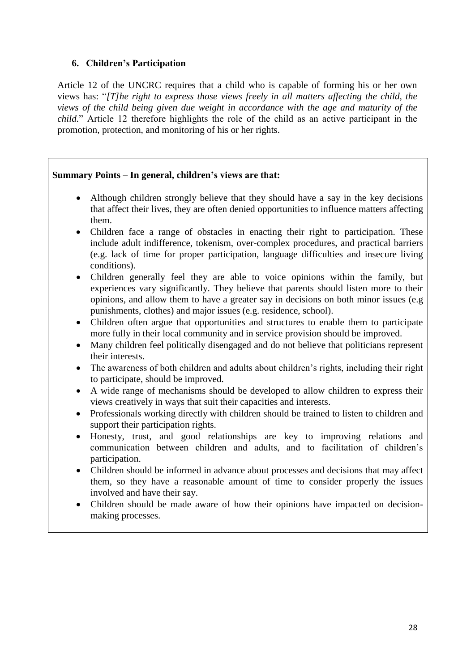## <span id="page-27-0"></span>**6. Children's Participation**

Article 12 of the UNCRC requires that a child who is capable of forming his or her own views has: "*[T]he right to express those views freely in all matters affecting the child, the views of the child being given due weight in accordance with the age and maturity of the child.*" Article 12 therefore highlights the role of the child as an active participant in the promotion, protection, and monitoring of his or her rights.

## **Summary Points – In general, children's views are that:**

- Although children strongly believe that they should have a say in the key decisions that affect their lives, they are often denied opportunities to influence matters affecting them.
- Children face a range of obstacles in enacting their right to participation. These include adult indifference, tokenism, over-complex procedures, and practical barriers (e.g. lack of time for proper participation, language difficulties and insecure living conditions).
- Children generally feel they are able to voice opinions within the family, but experiences vary significantly. They believe that parents should listen more to their opinions, and allow them to have a greater say in decisions on both minor issues (e.g punishments, clothes) and major issues (e.g. residence, school).
- Children often argue that opportunities and structures to enable them to participate more fully in their local community and in service provision should be improved.
- Many children feel politically disengaged and do not believe that politicians represent their interests.
- The awareness of both children and adults about children's rights, including their right to participate, should be improved.
- A wide range of mechanisms should be developed to allow children to express their views creatively in ways that suit their capacities and interests.
- Professionals working directly with children should be trained to listen to children and support their participation rights.
- Honesty, trust, and good relationships are key to improving relations and communication between children and adults, and to facilitation of children's participation.
- Children should be informed in advance about processes and decisions that may affect them, so they have a reasonable amount of time to consider properly the issues involved and have their say.
- Children should be made aware of how their opinions have impacted on decisionmaking processes.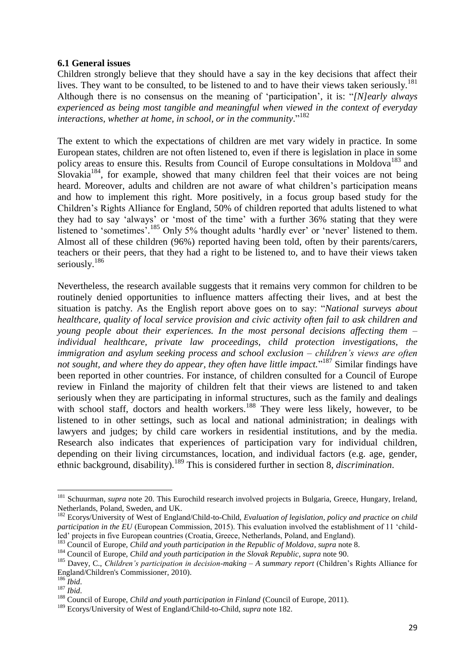#### **6.1 General issues**

Children strongly believe that they should have a say in the key decisions that affect their lives. They want to be consulted, to be listened to and to have their views taken seriously.<sup>181</sup> Although there is no consensus on the meaning of 'participation', it is: "*[N]early always experienced as being most tangible and meaningful when viewed in the context of everyday interactions, whether at home, in school, or in the community*." 182

<span id="page-28-0"></span>The extent to which the expectations of children are met vary widely in practice. In some European states, children are not often listened to, even if there is legislation in place in some policy areas to ensure this. Results from Council of Europe consultations in Moldova<sup>183</sup> and Slovakia<sup>184</sup>, for example, showed that many children feel that their voices are not being heard. Moreover, adults and children are not aware of what children's participation means and how to implement this right. More positively, in a focus group based study for the Children's Rights Alliance for England, 50% of children reported that adults listened to what they had to say 'always' or 'most of the time' with a further 36% stating that they were listened to 'sometimes'.<sup>185</sup> Only 5% thought adults 'hardly ever' or 'never' listened to them. Almost all of these children (96%) reported having been told, often by their parents/carers, teachers or their peers, that they had a right to be listened to, and to have their views taken seriously.<sup>186</sup>

<span id="page-28-2"></span>Nevertheless, the research available suggests that it remains very common for children to be routinely denied opportunities to influence matters affecting their lives, and at best the situation is patchy. As the English report above goes on to say: "*National surveys about healthcare, quality of local service provision and civic activity often fail to ask children and young people about their experiences. In the most personal decisions affecting them – individual healthcare, private law proceedings, child protection investigations, the immigration and asylum seeking process and school exclusion – children's views are often not sought, and where they do appear, they often have little impact.*" <sup>187</sup> Similar findings have been reported in other countries. For instance, of children consulted for a Council of Europe review in Finland the majority of children felt that their views are listened to and taken seriously when they are participating in informal structures, such as the family and dealings with school staff, doctors and health workers.<sup>188</sup> They were less likely, however, to be listened to in other settings, such as local and national administration; in dealings with lawyers and judges; by child care workers in residential institutions, and by the media. Research also indicates that experiences of participation vary for individual children, depending on their living circumstances, location, and individual factors (e.g. age, gender, ethnic background, disability).<sup>189</sup> This is considered further in section 8, *discrimination*.

<span id="page-28-1"></span> $\overline{a}$ 

<sup>&</sup>lt;sup>181</sup> Schuurman, *supra* note [20.](#page-9-1) This Eurochild research involved projects in Bulgaria, Greece, Hungary, Ireland, Netherlands, Poland, Sweden, and UK.

<sup>182</sup> Ecorys/University of West of England/Child-to-Child, *Evaluation of legislation, policy and practice on child participation in the EU* (European Commission, 2015). This evaluation involved the establishment of 11 'childled' projects in five European countries (Croatia, Greece, Netherlands, Poland, and England).

<sup>183</sup> Council of Europe, *Child and youth participation in the Republic of Moldova*, *supra* not[e 8.](#page-8-1)

<sup>184</sup> Council of Europe, *Child and youth participation in the Slovak Republic*, *supra* not[e 90.](#page-18-2)

<sup>185</sup> Davey, C., *Children's participation in decision-making – A summary report* (Children's Rights Alliance for England/Children's Commissioner, 2010).

<sup>186</sup> *Ibid*.

<sup>187</sup> *Ibid*.

<sup>&</sup>lt;sup>188</sup> Council of Europe, *Child and youth participation in Finland* (Council of Europe, 2011).

<sup>189</sup> Ecorys/University of West of England/Child-to-Child, *supra* note [182.](#page-28-0)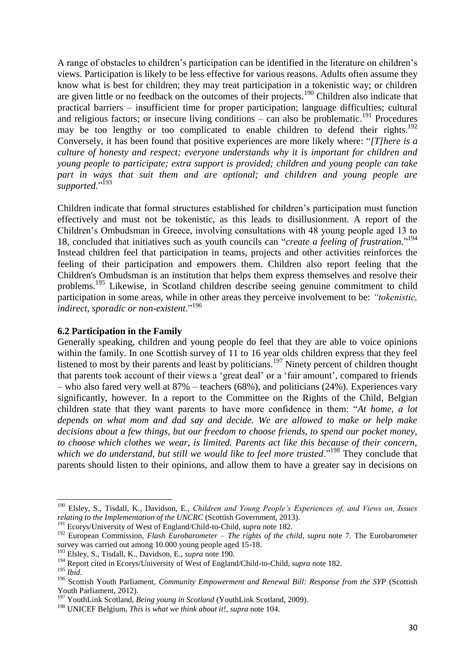<span id="page-29-0"></span>A range of obstacles to children's participation can be identified in the literature on children's views. Participation is likely to be less effective for various reasons. Adults often assume they know what is best for children; they may treat participation in a tokenistic way; or children are given little or no feedback on the outcomes of their projects.<sup>190</sup> Children also indicate that practical barriers – insufficient time for proper participation; language difficulties; cultural and religious factors; or insecure living conditions – can also be problematic.<sup>191</sup> Procedures may be too lengthy or too complicated to enable children to defend their rights.<sup>192</sup> Conversely, it has been found that positive experiences are more likely where: "*[T]here is a culture of honesty and respect; everyone understands why it is important for children and young people to participate; extra support is provided; children and young people can take part in ways that suit them and are optional; and children and young people are supported.*" 193

Children indicate that formal structures established for children's participation must function effectively and must not be tokenistic, as this leads to disillusionment. A report of the Children's Ombudsman in Greece, involving consultations with 48 young people aged 13 to 18, concluded that initiatives such as youth councils can "*create a feeling of frustration.*" 194 Instead children feel that participation in teams, projects and other activities reinforces the feeling of their participation and empowers them. Children also report feeling that the Children's Ombudsman is an institution that helps them express themselves and resolve their problems.<sup>195</sup> Likewise, in Scotland children describe seeing genuine commitment to child participation in some areas, while in other areas they perceive involvement to be: *"tokenistic, indirect, sporadic or non-existent*."<sup>196</sup>

#### **6.2 Participation in the Family**

Generally speaking, children and young people do feel that they are able to voice opinions within the family. In one Scottish survey of 11 to 16 year olds children express that they feel listened to most by their parents and least by politicians.<sup>197</sup> Ninety percent of children thought that parents took account of their views a 'great deal' or a 'fair amount', compared to friends – who also fared very well at 87% – teachers (68%), and politicians (24%). Experiences vary significantly, however. In a report to the Committee on the Rights of the Child, Belgian children state that they want parents to have more confidence in them: "*At home, a lot depends on what mom and dad say and decide. We are allowed to make or help make decisions about a few things, but our freedom to choose friends, to spend our pocket money, to choose which clothes we wear, is limited. Parents act like this because of their concern,*  which we do understand, but still we would like to feel more trusted."<sup>198</sup> They conclude that parents should listen to their opinions, and allow them to have a greater say in decisions on

1

<sup>190</sup> Elsley, S., Tisdall, K., Davidson, E., *Children and Young People's Experiences of, and Views on, Issues relating to the Implementation of the UNCRC* (Scottish Government, 2013).

<sup>191</sup> Ecorys/University of West of England/Child-to-Child, *supra* note [182.](#page-28-0)

<sup>192</sup> European Commission, *Flash Eurobarometer – The rights of the child*, *supra* note [7.](#page-7-0) The Eurobarometer survey was carried out among 10.000 young people aged 15-18.

<sup>193</sup> Elsley, S., Tisdall, K., Davidson, E., *supra* not[e 190.](#page-29-0)

<sup>194</sup> Report cited in Ecorys/University of West of England/Child-to-Child, *supra* note [182.](#page-28-0)

<sup>195</sup> *Ibid*.

<sup>196</sup> Scottish Youth Parliament, *Community Empowerment and Renewal Bill: Response from the SYP* (Scottish Youth Parliament, 2012).

<sup>197</sup> YouthLink Scotland, *Being young in Scotland* (YouthLink Scotland, 2009).

<sup>198</sup> UNICEF Belgium, *This is what we think about it!*, *supra* note [104.](#page-20-0)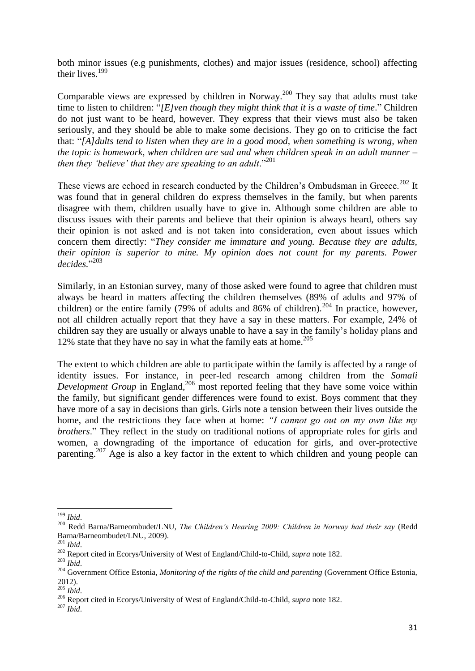both minor issues (e.g punishments, clothes) and major issues (residence, school) affecting their lives.<sup>199</sup>

Comparable views are expressed by children in Norway.<sup>200</sup> They say that adults must take time to listen to children: "*[E]ven though they might think that it is a waste of time*." Children do not just want to be heard, however. They express that their views must also be taken seriously, and they should be able to make some decisions. They go on to criticise the fact that: "*[A]dults tend to listen when they are in a good mood, when something is wrong, when the topic is homework, when children are sad and when children speak in an adult manner – then they 'believe' that they are speaking to an adult*."<sup>201</sup>

These views are echoed in research conducted by the Children's Ombudsman in Greece.<sup>202</sup> It was found that in general children do express themselves in the family, but when parents disagree with them, children usually have to give in. Although some children are able to discuss issues with their parents and believe that their opinion is always heard, others say their opinion is not asked and is not taken into consideration, even about issues which concern them directly: "*They consider me immature and young. Because they are adults, their opinion is superior to mine. My opinion does not count for my parents. Power decides.*" 203

<span id="page-30-0"></span>Similarly, in an Estonian survey, many of those asked were found to agree that children must always be heard in matters affecting the children themselves (89% of adults and 97% of children) or the entire family (79% of adults and 86% of children).<sup>204</sup> In practice, however, not all children actually report that they have a say in these matters. For example, 24% of children say they are usually or always unable to have a say in the family's holiday plans and 12% state that they have no say in what the family eats at home. $205$ 

The extent to which children are able to participate within the family is affected by a range of identity issues. For instance, in peer-led research among children from the *Somali*  Development Group in England,<sup>206</sup> most reported feeling that they have some voice within the family, but significant gender differences were found to exist. Boys comment that they have more of a say in decisions than girls. Girls note a tension between their lives outside the home, and the restrictions they face when at home: *"I cannot go out on my own like my brothers*." They reflect in the study on traditional notions of appropriate roles for girls and women, a downgrading of the importance of education for girls, and over-protective parenting.<sup>207</sup> Age is also a key factor in the extent to which children and young people can

**<sup>.</sup>** <sup>199</sup> *Ibid*.

<sup>200</sup> Redd Barna/Barneombudet/LNU, *The Children's Hearing 2009: Children in Norway had their say* (Redd Barna/Barneombudet/LNU, 2009).

<sup>201</sup> *Ibid*.

<sup>202</sup> Report cited in Ecorys/University of West of England/Child-to-Child, *supra* note [182.](#page-28-0)

<sup>203</sup> *Ibid*.

<sup>204</sup> Government Office Estonia, *Monitoring of the rights of the child and parenting* (Government Office Estonia, 2012).

<sup>205</sup> *Ibid*.

<sup>206</sup> Report cited in Ecorys/University of West of England/Child-to-Child, *supra* note [182.](#page-28-0)

<sup>207</sup> *Ibid*.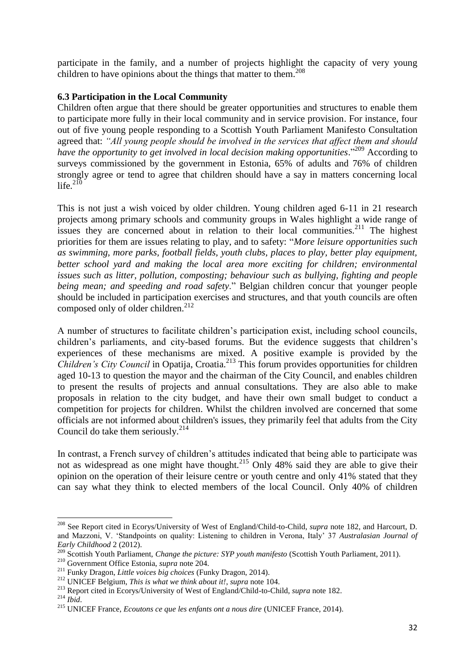participate in the family, and a number of projects highlight the capacity of very young children to have opinions about the things that matter to them.<sup>208</sup>

#### **6.3 Participation in the Local Community**

<span id="page-31-0"></span>Children often argue that there should be greater opportunities and structures to enable them to participate more fully in their local community and in service provision. For instance, four out of five young people responding to a Scottish Youth Parliament Manifesto Consultation agreed that: *"All young people should be involved in the services that affect them and should have the opportunity to get involved in local decision making opportunities*." <sup>209</sup> According to surveys commissioned by the government in Estonia, 65% of adults and 76% of children strongly agree or tend to agree that children should have a say in matters concerning local life. $^{210}$ 

This is not just a wish voiced by older children. Young children aged 6-11 in 21 research projects among primary schools and community groups in Wales highlight a wide range of issues they are concerned about in relation to their local communities.<sup>211</sup> The highest priorities for them are issues relating to play, and to safety: "*More leisure opportunities such as swimming, more parks, football fields, youth clubs, places to play, better play equipment, better school yard and making the local area more exciting for children; environmental issues such as litter, pollution, composting; behaviour such as bullying, fighting and people being mean; and speeding and road safety*." Belgian children concur that younger people should be included in participation exercises and structures, and that youth councils are often composed only of older children.<sup>212</sup>

A number of structures to facilitate children's participation exist, including school councils, children's parliaments, and city-based forums. But the evidence suggests that children's experiences of these mechanisms are mixed. A positive example is provided by the *Children's City Council* in Opatija, Croatia.<sup>213</sup> This forum provides opportunities for children aged 10-13 to question the mayor and the chairman of the City Council, and enables children to present the results of projects and annual consultations. They are also able to make proposals in relation to the city budget, and have their own small budget to conduct a competition for projects for children. Whilst the children involved are concerned that some officials are not informed about children's issues, they primarily feel that adults from the City Council do take them seriously. $^{214}$ 

In contrast, a French survey of children's attitudes indicated that being able to participate was not as widespread as one might have thought.<sup>215</sup> Only 48% said they are able to give their opinion on the operation of their leisure centre or youth centre and only 41% stated that they can say what they think to elected members of the local Council. Only 40% of children

<sup>208</sup> See Report cited in Ecorys/University of West of England/Child-to-Child, *supra* note [182,](#page-28-0) and Harcourt, D. and Mazzoni, V. 'Standpoints on quality: Listening to children in Verona, Italy' 37 *Australasian Journal of Early Childhood* 2 (2012).

<sup>209</sup> Scottish Youth Parliament, *Change the picture: SYP youth manifesto* (Scottish Youth Parliament, 2011).

<sup>210</sup> Government Office Estonia, *supra* note [204.](#page-30-0)

<sup>211</sup> Funky Dragon, *Little voices big choices* (Funky Dragon, 2014).

<sup>212</sup> UNICEF Belgium, *This is what we think about it!*, *supra* note [104.](#page-20-0)

<sup>213</sup> Report cited in Ecorys/University of West of England/Child-to-Child, *supra* note [182.](#page-28-0)

<sup>214</sup> *Ibid*.

<sup>215</sup> UNICEF France, *Ecoutons ce que les enfants ont a nous dire* (UNICEF France, 2014).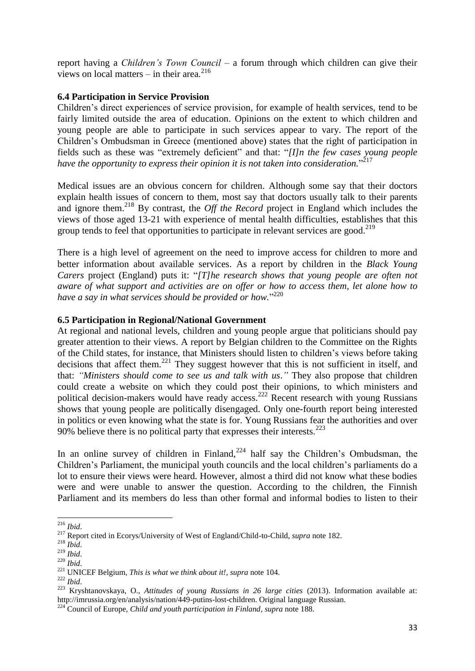report having a *Children's Town Council* – a forum through which children can give their views on local matters – in their area*.* 216

## **6.4 Participation in Service Provision**

Children's direct experiences of service provision, for example of health services, tend to be fairly limited outside the area of education. Opinions on the extent to which children and young people are able to participate in such services appear to vary. The report of the Children's Ombudsman in Greece (mentioned above) states that the right of participation in fields such as these was "extremely deficient" and that: "*[I]n the few cases young people have the opportunity to express their opinion it is not taken into consideration.*" 217

Medical issues are an obvious concern for children. Although some say that their doctors explain health issues of concern to them, most say that doctors usually talk to their parents and ignore them.<sup>218</sup> By contrast, the *Off the Record* project in England which includes the views of those aged 13-21 with experience of mental health difficulties, establishes that this group tends to feel that opportunities to participate in relevant services are good.<sup>219</sup>

There is a high level of agreement on the need to improve access for children to more and better information about available services. As a report by children in the *Black Young Carers* project (England) puts it: "*[T]he research shows that young people are often not aware of what support and activities are on offer or how to access them, let alone how to have a say in what services should be provided or how.*" 220

## **6.5 Participation in Regional/National Government**

At regional and national levels, children and young people argue that politicians should pay greater attention to their views. A report by Belgian children to the Committee on the Rights of the Child states, for instance, that Ministers should listen to children's views before taking decisions that affect them.<sup>221</sup> They suggest however that this is not sufficient in itself, and that: *"Ministers should come to see us and talk with us*.*"* They also propose that children could create a website on which they could post their opinions, to which ministers and political decision-makers would have ready access.<sup>222</sup> Recent research with young Russians shows that young people are politically disengaged. Only one-fourth report being interested in politics or even knowing what the state is for. Young Russians fear the authorities and over 90% believe there is no political party that expresses their interests.  $223$ 

In an online survey of children in Finland,  $224$  half say the Children's Ombudsman, the Children's Parliament, the municipal youth councils and the local children's parliaments do a lot to ensure their views were heard. However, almost a third did not know what these bodies were and were unable to answer the question. According to the children, the Finnish Parliament and its members do less than other formal and informal bodies to listen to their

**<sup>.</sup>** <sup>216</sup> *Ibid*.

<sup>217</sup> Report cited in Ecorys/University of West of England/Child-to-Child, *supra* note [182.](#page-28-0)

<sup>218</sup> *Ibid*.

<sup>219</sup> *Ibid*.

<sup>220</sup> *Ibid*.

<sup>221</sup> UNICEF Belgium, *This is what we think about it!*, *supra* note [104.](#page-20-0)

<sup>222</sup> *Ibid*.

<sup>223</sup> Kryshtanovskaya, O., *Attitudes of young Russians in 26 large cities* (2013). Information available at: http://imrussia.org/en/analysis/nation/449-putins-lost-children. Original language Russian.

<sup>224</sup> Council of Europe, *Child and youth participation in Finland*, *supra* not[e 188.](#page-28-1)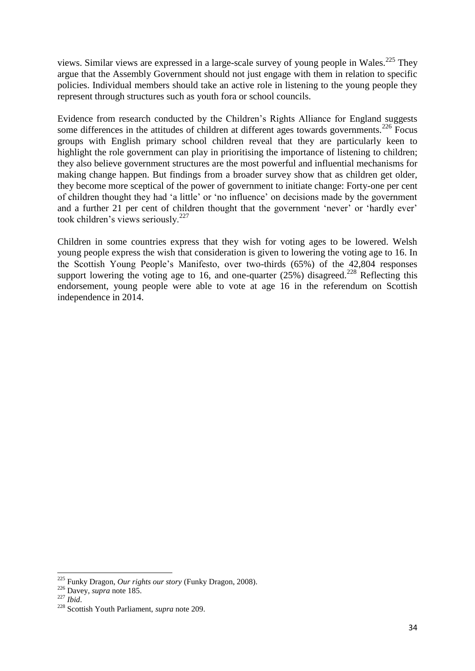views. Similar views are expressed in a large-scale survey of young people in Wales.<sup>225</sup> They argue that the Assembly Government should not just engage with them in relation to specific policies. Individual members should take an active role in listening to the young people they represent through structures such as youth fora or school councils.

Evidence from research conducted by the Children's Rights Alliance for England suggests some differences in the attitudes of children at different ages towards governments.<sup>226</sup> Focus groups with English primary school children reveal that they are particularly keen to highlight the role government can play in prioritising the importance of listening to children; they also believe government structures are the most powerful and influential mechanisms for making change happen. But findings from a broader survey show that as children get older, they become more sceptical of the power of government to initiate change: Forty-one per cent of children thought they had 'a little' or 'no influence' on decisions made by the government and a further 21 per cent of children thought that the government 'never' or 'hardly ever' took children's views seriously.<sup>227</sup>

Children in some countries express that they wish for voting ages to be lowered. Welsh young people express the wish that consideration is given to lowering the voting age to 16. In the Scottish Young People's Manifesto, over two-thirds (65%) of the 42,804 responses support lowering the voting age to 16, and one-quarter (25%) disagreed.<sup>228</sup> Reflecting this endorsement, young people were able to vote at age 16 in the referendum on Scottish independence in 2014.

<sup>225</sup> Funky Dragon, *Our rights our story* (Funky Dragon, 2008).

<sup>226</sup> Davey, *supra* note [185.](#page-28-2)

<sup>227</sup> *Ibid*.

<sup>228</sup> Scottish Youth Parliament, *supra* note [209.](#page-31-0)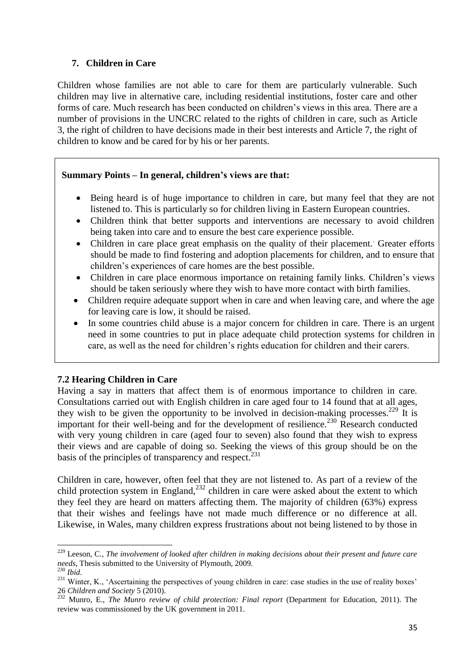## <span id="page-34-0"></span>**7. Children in Care**

Children whose families are not able to care for them are particularly vulnerable. Such children may live in alternative care, including residential institutions, foster care and other forms of care. Much research has been conducted on children's views in this area. There are a number of provisions in the UNCRC related to the rights of children in care, such as Article 3, the right of children to have decisions made in their best interests and Article 7, the right of children to know and be cared for by his or her parents.

## **Summary Points – In general, children's views are that:**

- Being heard is of huge importance to children in care, but many feel that they are not listened to. This is particularly so for children living in Eastern European countries.
- Children think that better supports and interventions are necessary to avoid children being taken into care and to ensure the best care experience possible.
- Children in care place great emphasis on the quality of their placement.. Greater efforts should be made to find fostering and adoption placements for children, and to ensure that children's experiences of care homes are the best possible.
- Children in care place enormous importance on retaining family links. Children's views should be taken seriously where they wish to have more contact with birth families.
- Children require adequate support when in care and when leaving care, and where the age for leaving care is low, it should be raised.
- In some countries child abuse is a major concern for children in care. There is an urgent need in some countries to put in place adequate child protection systems for children in care, as well as the need for children's rights education for children and their carers.

## **7.2 Hearing Children in Care**

Having a say in matters that affect them is of enormous importance to children in care. Consultations carried out with English children in care aged four to 14 found that at all ages, they wish to be given the opportunity to be involved in decision-making processes.<sup>229</sup> It is important for their well-being and for the development of resilience.<sup>230</sup> Research conducted with very young children in care (aged four to seven) also found that they wish to express their views and are capable of doing so. Seeking the views of this group should be on the basis of the principles of transparency and respect. $^{231}$ 

<span id="page-34-1"></span>Children in care, however, often feel that they are not listened to. As part of a review of the child protection system in England, $^{232}$  children in care were asked about the extent to which they feel they are heard on matters affecting them. The majority of children (63%) express that their wishes and feelings have not made much difference or no difference at all. Likewise, in Wales, many children express frustrations about not being listened to by those in

**<sup>.</sup>** <sup>229</sup> Leeson, C., *The involvement of looked after children in making decisions about their present and future care needs*, Thesis submitted to the University of Plymouth, 2009.

<sup>230</sup> *Ibid*.

<sup>&</sup>lt;sup>231</sup> Winter, K., 'Ascertaining the perspectives of young children in care: case studies in the use of reality boxes' 26 *Children and Society* 5 (2010).

<sup>&</sup>lt;sup>232</sup> Munro, E., *The Munro review of child protection: Final report* (Department for Education, 2011). The review was commissioned by the UK government in 2011.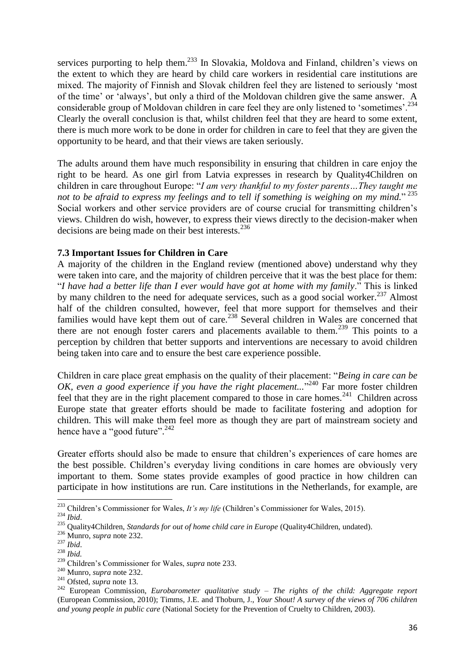<span id="page-35-0"></span>services purporting to help them.<sup>233</sup> In Slovakia, Moldova and Finland, children's views on the extent to which they are heard by child care workers in residential care institutions are mixed. The majority of Finnish and Slovak children feel they are listened to seriously 'most of the time' or 'always', but only a third of the Moldovan children give the same answer. A considerable group of Moldovan children in care feel they are only listened to 'sometimes'.<sup>234</sup> Clearly the overall conclusion is that, whilst children feel that they are heard to some extent, there is much more work to be done in order for children in care to feel that they are given the opportunity to be heard, and that their views are taken seriously.

The adults around them have much responsibility in ensuring that children in care enjoy the right to be heard. As one girl from Latvia expresses in research by Quality4Children on children in care throughout Europe: "*I am very thankful to my foster parents…They taught me not to be afraid to express my feelings and to tell if something is weighing on my mind.*" 235 Social workers and other service providers are of course crucial for transmitting children's views. Children do wish, however, to express their views directly to the decision-maker when decisions are being made on their best interests.<sup>236</sup>

#### **7.3 Important Issues for Children in Care**

A majority of the children in the England review (mentioned above) understand why they were taken into care, and the majority of children perceive that it was the best place for them: "*I have had a better life than I ever would have got at home with my family*." This is linked by many children to the need for adequate services, such as a good social worker.<sup>237</sup> Almost half of the children consulted, however, feel that more support for themselves and their families would have kept them out of care.<sup>238</sup> Several children in Wales are concerned that there are not enough foster carers and placements available to them.<sup>239</sup> This points to a perception by children that better supports and interventions are necessary to avoid children being taken into care and to ensure the best care experience possible.

Children in care place great emphasis on the quality of their placement: "*Being in care can be*  OK, even a good experience if you have the right placement..."<sup>240</sup> Far more foster children feel that they are in the right placement compared to those in care homes.<sup>241</sup> Children across Europe state that greater efforts should be made to facilitate fostering and adoption for children. This will make them feel more as though they are part of mainstream society and hence have a "good future".<sup>242</sup>

<span id="page-35-1"></span>Greater efforts should also be made to ensure that children's experiences of care homes are the best possible. Children's everyday living conditions in care homes are obviously very important to them. Some states provide examples of good practice in how children can participate in how institutions are run. Care institutions in the Netherlands*,* for example, are

1

<sup>233</sup> Children's Commissioner for Wales, *It's my life* (Children's Commissioner for Wales, 2015).

<sup>234</sup> *Ibid*.

<sup>&</sup>lt;sup>235</sup> Quality4Children, *Standards for out of home child care in Europe* (Quality4Children, undated).

<sup>236</sup> Munro, *supra* note [232.](#page-34-1)

<sup>237</sup> *Ibid*.

<sup>238</sup> *Ibid.*

<sup>239</sup> Children's Commissioner for Wales, *supra* note [233.](#page-35-0)

<sup>240</sup> Munro, *supra* note [232.](#page-34-1)

<sup>241</sup> Ofsted, *supra* note [13.](#page-8-2)

<sup>242</sup> European Commission, *Eurobarometer qualitative study – The rights of the child: Aggregate report* (European Commission, 2010); Timms, J.E. and Thoburn, J., *Your Shout! A survey of the views of 706 children and young people in public care* (National Society for the Prevention of Cruelty to Children, 2003).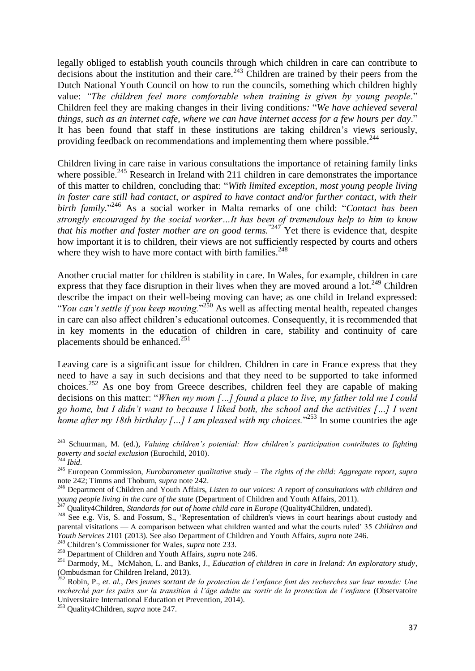<span id="page-36-3"></span>legally obliged to establish youth councils through which children in care can contribute to decisions about the institution and their care.<sup>243</sup> Children are trained by their peers from the Dutch National Youth Council on how to run the councils, something which children highly value: *"The children feel more comfortable when training is given by young people.*" Children feel they are making changes in their living conditions*:* "*We have achieved several things, such as an internet cafe, where we can have internet access for a few hours per day*." It has been found that staff in these institutions are taking children's views seriously, providing feedback on recommendations and implementing them where possible.<sup>244</sup>

<span id="page-36-0"></span>Children living in care raise in various consultations the importance of retaining family links where possible.<sup>245</sup> Research in Ireland with 211 children in care demonstrates the importance of this matter to children, concluding that: "*With limited exception, most young people living in foster care still had contact, or aspired to have contact and/or further contact, with their birth family.*" <sup>246</sup> As a social worker in Malta remarks of one child: "*Contact has been strongly encouraged by the social worker…It has been of tremendous help to him to know that his mother and foster mother are on good terms.*<sup>"247</sup> Yet there is evidence that, despite how important it is to children, their views are not sufficiently respected by courts and others where they wish to have more contact with birth families. $248$ 

<span id="page-36-1"></span>Another crucial matter for children is stability in care. In Wales, for example, children in care express that they face disruption in their lives when they are moved around a lot.<sup>249</sup> Children describe the impact on their well-being moving can have; as one child in Ireland expressed: "*You can't settle if you keep moving.*"<sup>250</sup> As well as affecting mental health, repeated changes in care can also affect children's educational outcomes. Consequently, it is recommended that in key moments in the education of children in care, stability and continuity of care placements should be enhanced.<sup>251</sup>

<span id="page-36-2"></span>Leaving care is a significant issue for children. Children in care in France express that they need to have a say in such decisions and that they need to be supported to take informed choices.<sup>252</sup> As one boy from Greece describes, children feel they are capable of making decisions on this matter: "*When my mom […] found a place to live, my father told me I could go home, but I didn't want to because I liked both, the school and the activities […] I went*  home after my 18th birthday [...] I am pleased with my choices.<sup>"253</sup> In some countries the age

1

<sup>249</sup> Children's Commissioner for Wales, *supra* note [233.](#page-35-0)

<sup>243</sup> Schuurman, M. (ed.), *Valuing children's potential: How children's participation contributes to fighting poverty and social exclusion* (Eurochild, 2010).

<sup>244</sup> *Ibid*.

<sup>245</sup> European Commission, *Eurobarometer qualitative study – The rights of the child: Aggregate report, supra* not[e 242;](#page-35-1) Timms and Thoburn, *supra* note [242.](#page-35-1)

<sup>246</sup> Department of Children and Youth Affairs, *Listen to our voices: A report of consultations with children and young people living in the care of the state* (Department of Children and Youth Affairs, 2011).

<sup>247</sup> Quality4Children, *Standards for out of home child care in Europe* (Quality4Children, undated).

<sup>&</sup>lt;sup>248</sup> See e.g. Vis, S. and Fossum, S., 'Representation of children's views in court hearings about custody and parental visitations — A comparison between what children wanted and what the courts ruled' 35 *Children and Youth Services* 2101 (2013). See also Department of Children and Youth Affairs, *supra* note [246.](#page-36-0)

<sup>250</sup> Department of Children and Youth Affairs, *supra* note [246.](#page-36-0)

<sup>251</sup> Darmody, M., McMahon, L. and Banks, J., *Education of children in care in Ireland: An exploratory study*, (Ombudsman for Children Ireland, 2013).

<sup>252</sup> Robin, P., *et. al.*, *Des jeunes sortant de la protection de l'enfance font des recherches sur leur monde: Une recherché par les pairs sur la transition à l'âge adulte au sortir de la protection de l'enfance* (Observatoire Universitaire International Education et Prevention, 2014).

<sup>253</sup> Quality4Children, *supra* note [247.](#page-36-1)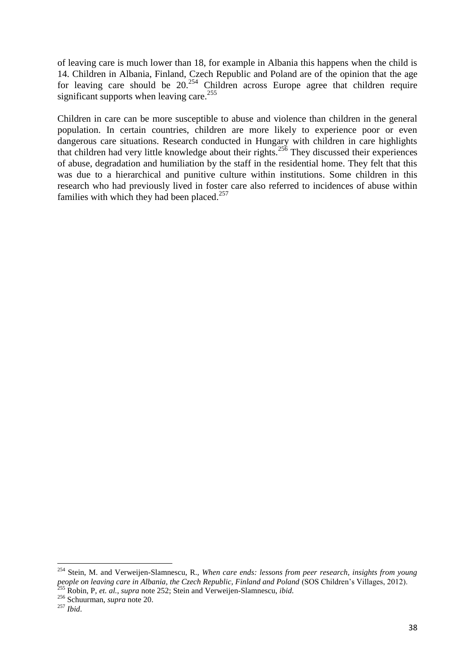of leaving care is much lower than 18, for example in Albania this happens when the child is 14. Children in Albania, Finland, Czech Republic and Poland are of the opinion that the age for leaving care should be  $20.<sup>254</sup>$  Children across Europe agree that children require significant supports when leaving care.<sup>255</sup>

Children in care can be more susceptible to abuse and violence than children in the general population. In certain countries, children are more likely to experience poor or even dangerous care situations. Research conducted in Hungary with children in care highlights that children had very little knowledge about their rights.<sup>256</sup> They discussed their experiences of abuse, degradation and humiliation by the staff in the residential home. They felt that this was due to a hierarchical and punitive culture within institutions. Some children in this research who had previously lived in foster care also referred to incidences of abuse within families with which they had been placed.<sup>257</sup>

<sup>254</sup> Stein, M. and Verweijen-Slamnescu, R., *When care ends: lessons from peer research, insights from young people on leaving care in Albania, the Czech Republic, Finland and Poland* (SOS Children's Villages, 2012). <sup>255</sup> Robin, P, *et. al.*, *supra* not[e 252;](#page-36-2) Stein and Verweijen-Slamnescu, *ibid*.

<sup>256</sup> Schuurman, *supra* note [20.](#page-9-1)

<sup>257</sup> *Ibid*.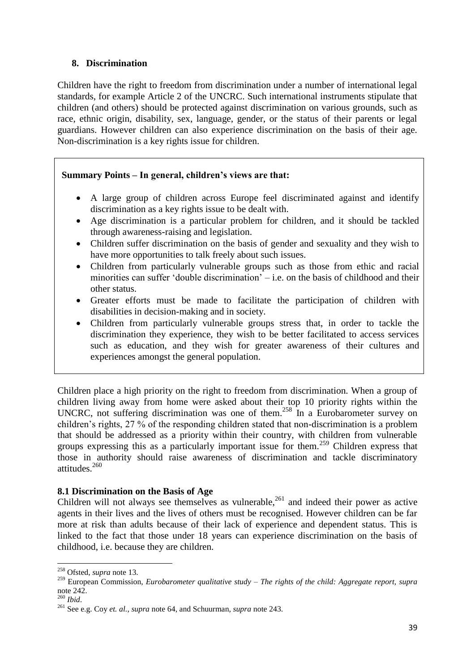## <span id="page-38-0"></span>**8. Discrimination**

Children have the right to freedom from discrimination under a number of international legal standards, for example Article 2 of the UNCRC. Such international instruments stipulate that children (and others) should be protected against discrimination on various grounds, such as race, ethnic origin, disability, sex, language, gender, or the status of their parents or legal guardians. However children can also experience discrimination on the basis of their age. Non-discrimination is a key rights issue for children.

## **Summary Points – In general, children's views are that:**

- A large group of children across Europe feel discriminated against and identify discrimination as a key rights issue to be dealt with.
- Age discrimination is a particular problem for children, and it should be tackled through awareness-raising and legislation.
- Children suffer discrimination on the basis of gender and sexuality and they wish to have more opportunities to talk freely about such issues.
- Children from particularly vulnerable groups such as those from ethic and racial minorities can suffer 'double discrimination' – i.e. on the basis of childhood and their other status.
- Greater efforts must be made to facilitate the participation of children with disabilities in decision-making and in society.
- Children from particularly vulnerable groups stress that, in order to tackle the discrimination they experience, they wish to be better facilitated to access services such as education, and they wish for greater awareness of their cultures and experiences amongst the general population.

Children place a high priority on the right to freedom from discrimination. When a group of children living away from home were asked about their top 10 priority rights within the UNCRC, not suffering discrimination was one of them.<sup>258</sup> In a Eurobarometer survey on children's rights, 27 % of the responding children stated that non-discrimination is a problem that should be addressed as a priority within their country, with children from vulnerable groups expressing this as a particularly important issue for them.<sup>259</sup> Children express that those in authority should raise awareness of discrimination and tackle discriminatory attitudes.<sup>260</sup>

## **8.1 Discrimination on the Basis of Age**

Children will not always see themselves as vulnerable,<sup>261</sup> and indeed their power as active agents in their lives and the lives of others must be recognised. However children can be far more at risk than adults because of their lack of experience and dependent status. This is linked to the fact that those under 18 years can experience discrimination on the basis of childhood, i.e. because they are children.

**<sup>.</sup>** <sup>258</sup> Ofsted, *supra* note [13.](#page-8-2)

<sup>259</sup> European Commission, *Eurobarometer qualitative study – The rights of the child: Aggregate report, supra* not[e 242.](#page-35-1)

<sup>260</sup> *Ibid*.

<sup>261</sup> See e.g. Coy *et. al.*, *supra* note [64,](#page-13-2) and Schuurman, *supra* note [243.](#page-36-3)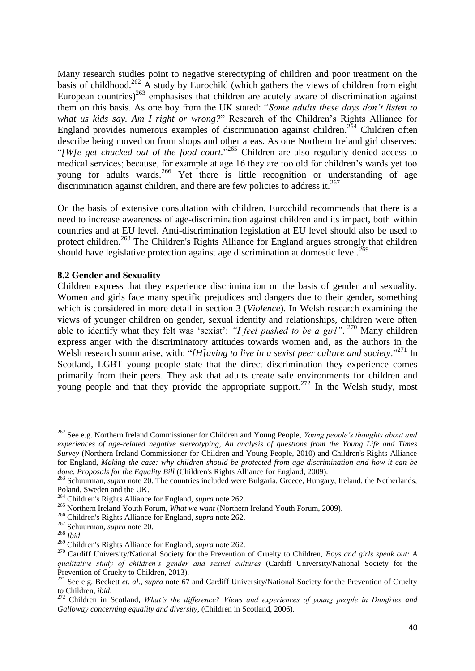<span id="page-39-0"></span>Many research studies point to negative stereotyping of children and poor treatment on the basis of childhood.<sup>262</sup> A study by Eurochild (which gathers the views of children from eight European countries)<sup>263</sup> emphasises that children are acutely aware of discrimination against them on this basis. As one boy from the UK stated: "*Some adults these days don't listen to what us kids say. Am I right or wrong?*" Research of the Children's Rights Alliance for England provides numerous examples of discrimination against children.<sup>264</sup> Children often describe being moved on from shops and other areas. As one Northern Ireland girl observes: "[W]e get chucked out of the food court."<sup>265</sup> Children are also regularly denied access to medical services; because, for example at age 16 they are too old for children's wards yet too young for adults wards.<sup>266</sup> Yet there is little recognition or understanding of age discrimination against children, and there are few policies to address it.<sup>267</sup>

On the basis of extensive consultation with children, Eurochild recommends that there is a need to increase awareness of age-discrimination against children and its impact, both within countries and at EU level. Anti-discrimination legislation at EU level should also be used to protect children.<sup>268</sup> The Children's Rights Alliance for England argues strongly that children should have legislative protection against age discrimination at domestic level.<sup>269</sup>

#### **8.2 Gender and Sexuality**

<span id="page-39-1"></span>Children express that they experience discrimination on the basis of gender and sexuality. Women and girls face many specific prejudices and dangers due to their gender, something which is considered in more detail in section 3 (*Violence*). In Welsh research examining the views of younger children on gender, sexual identity and relationships, children were often able to identify what they felt was 'sexist': *"I feel pushed to be a girl"*. <sup>270</sup> Many children express anger with the discriminatory attitudes towards women and, as the authors in the Welsh research summarise, with: "*[H]aving to live in a sexist peer culture and society*."<sup>271</sup> In Scotland, LGBT young people state that the direct discrimination they experience comes primarily from their peers. They ask that adults create safe environments for children and young people and that they provide the appropriate support.<sup>272</sup> In the Welsh study, most

**<sup>.</sup>** <sup>262</sup> See e.g. Northern Ireland Commissioner for Children and Young People, *Young people's thoughts about and experiences of age-related negative stereotyping, An analysis of questions from the Young Life and Times Survey* (Northern Ireland Commissioner for Children and Young People, 2010) and Children's Rights Alliance for England, *Making the case: why children should be protected from age discrimination and how it can be done. Proposals for the Equality Bill* (Children's Rights Alliance for England, 2009).

<sup>&</sup>lt;sup>263</sup> Schuurman, *supra* note [20.](#page-9-1) The countries included were Bulgaria, Greece, Hungary, Ireland, the Netherlands, Poland, Sweden and the UK.

<sup>264</sup> Children's Rights Alliance for England, *supra* note [262.](#page-39-0)

<sup>265</sup> Northern Ireland Youth Forum, *What we want* (Northern Ireland Youth Forum, 2009).

<sup>266</sup> Children's Rights Alliance for England, *supra* note [262.](#page-39-0)

<sup>267</sup> Schuurman, *supra* note [20.](#page-9-1)

<sup>268</sup> *Ibid*.

<sup>269</sup> Children's Rights Alliance for England, *supra* note [262.](#page-39-0)

<sup>270</sup> Cardiff University/National Society for the Prevention of Cruelty to Children, *Boys and girls speak out: A qualitative study of children's gender and sexual cultures* (Cardiff University/National Society for the Prevention of Cruelty to Children, 2013).

<sup>&</sup>lt;sup>271</sup> See e.g. Beckett *et. al., supra* note [67](#page-14-1) and Cardiff University/National Society for the Prevention of Cruelty to Children, *ibid*.

<sup>272</sup> Children in Scotland, *What's the difference? Views and experiences of young people in Dumfries and Galloway concerning equality and diversity*, (Children in Scotland, 2006).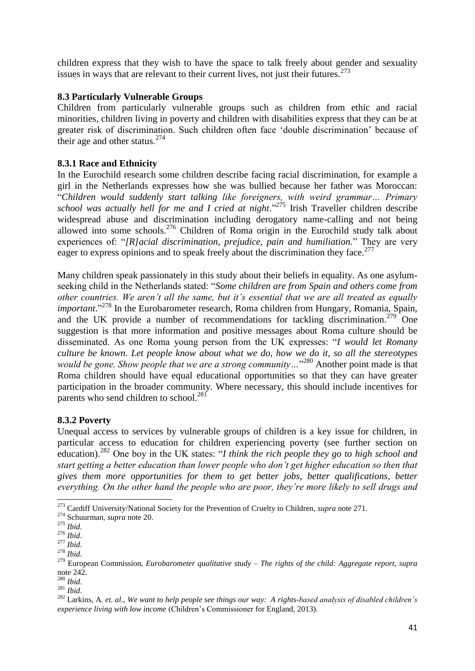children express that they wish to have the space to talk freely about gender and sexuality issues in ways that are relevant to their current lives, not just their futures.<sup>273</sup>

## **8.3 Particularly Vulnerable Groups**

Children from particularly vulnerable groups such as children from ethic and racial minorities, children living in poverty and children with disabilities express that they can be at greater risk of discrimination. Such children often face 'double discrimination' because of their age and other status. $274$ 

## **8.3.1 Race and Ethnicity**

In the Eurochild research some children describe facing racial discrimination, for example a girl in the Netherlands expresses how she was bullied because her father was Moroccan: "*Children would suddenly start talking like foreigners, with weird grammar… Primary school was actually hell for me and I cried at night*."<sup>275</sup> Irish Traveller children describe widespread abuse and discrimination including derogatory name-calling and not being allowed into some schools.<sup>276</sup> Children of Roma origin in the Eurochild study talk about experiences of: "*[R]acial discrimination, prejudice, pain and humiliation.*" They are very eager to express opinions and to speak freely about the discrimination they face.<sup>277</sup>

Many children speak passionately in this study about their beliefs in equality. As one asylumseeking child in the Netherlands stated: "*Some children are from Spain and others come from other countries. We aren't all the same, but it's essential that we are all treated as equally*  important."<sup>278</sup> In the Eurobarometer research, Roma children from Hungary, Romania, Spain, and the UK provide a number of recommendations for tackling discrimination.<sup>279</sup> One suggestion is that more information and positive messages about Roma culture should be disseminated. As one Roma young person from the UK expresses: "*I would let Romany culture be known. Let people know about what we do, how we do it, so all the stereotypes*  would be gone. Show people that we are a strong community...<sup>280</sup> Another point made is that Roma children should have equal educational opportunities so that they can have greater participation in the broader community. Where necessary, this should include incentives for parents who send children to school.<sup>281</sup>

## **8.3.2 Poverty**

Unequal access to services by vulnerable groups of children is a key issue for children, in particular access to education for children experiencing poverty (see further section on education).<sup>282</sup> One boy in the UK states: "*I think the rich people they go to high school and start getting a better education than lower people who don't get higher education so then that gives them more opportunities for them to get better jobs, better qualifications, better everything. On the other hand the people who are poor, they're more likely to sell drugs and* 

1

<sup>273</sup> Cardiff University/National Society for the Prevention of Cruelty to Children, *supra* note [271.](#page-39-1)

<sup>274</sup> Schuurman, *supra* note [20.](#page-9-1)

<sup>275</sup> *Ibid*.

<sup>276</sup> *Ibid*.

<sup>277</sup> *Ibid*.

<sup>278</sup> *Ibid*.

<sup>279</sup> European Commission, *Eurobarometer qualitative study – The rights of the child: Aggregate report, supra* not[e 242.](#page-35-1)

<sup>280</sup> *Ibid*.

<sup>281</sup> *Ibid*.

<sup>282</sup> Larkins, A. *et. al.*, *We want to help people see things our way: A rights-based analysis of disabled children's experience living with low income* (Children's Commissioner for England, 2013).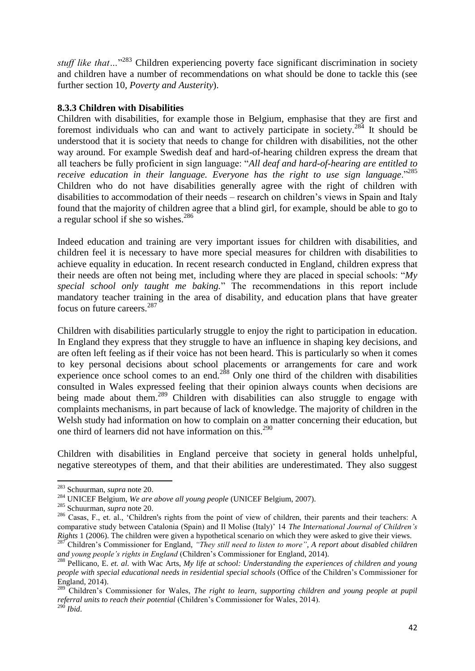stuff like that...<sup>283</sup> Children experiencing poverty face significant discrimination in society and children have a number of recommendations on what should be done to tackle this (see further section 10, *Poverty and Austerity*).

#### **8.3.3 Children with Disabilities**

Children with disabilities, for example those in Belgium, emphasise that they are first and foremost individuals who can and want to actively participate in society.<sup>284</sup> It should be understood that it is society that needs to change for children with disabilities, not the other way around. For example Swedish deaf and hard-of-hearing children express the dream that all teachers be fully proficient in sign language: "*All deaf and hard-of-hearing are entitled to receive education in their language. Everyone has the right to use sign language*."<sup>285</sup> Children who do not have disabilities generally agree with the right of children with disabilities to accommodation of their needs – research on children's views in Spain and Italy found that the majority of children agree that a blind girl, for example, should be able to go to a regular school if she so wishes.<sup>286</sup>

Indeed education and training are very important issues for children with disabilities, and children feel it is necessary to have more special measures for children with disabilities to achieve equality in education. In recent research conducted in England, children express that their needs are often not being met, including where they are placed in special schools: "*My special school only taught me baking.*" The recommendations in this report include mandatory teacher training in the area of disability, and education plans that have greater focus on future careers.<sup>287</sup>

<span id="page-41-0"></span>Children with disabilities particularly struggle to enjoy the right to participation in education. In England they express that they struggle to have an influence in shaping key decisions, and are often left feeling as if their voice has not been heard. This is particularly so when it comes to key personal decisions about school placements or arrangements for care and work experience once school comes to an end. $2^{88}$  Only one third of the children with disabilities consulted in Wales expressed feeling that their opinion always counts when decisions are being made about them.<sup>289</sup> Children with disabilities can also struggle to engage with complaints mechanisms, in part because of lack of knowledge. The majority of children in the Welsh study had information on how to complain on a matter concerning their education, but one third of learners did not have information on this.<sup>290</sup>

Children with disabilities in England perceive that society in general holds unhelpful, negative stereotypes of them, and that their abilities are underestimated. They also suggest

<sup>283</sup> Schuurman, *supra* note [20.](#page-9-1)

<sup>284</sup> UNICEF Belgium, *We are above all young people* (UNICEF Belgium, 2007).

<sup>285</sup> Schuurman, *supra* note [20.](#page-9-1)

<sup>&</sup>lt;sup>286</sup> Casas, F., et. al., 'Children's rights from the point of view of children, their parents and their teachers: A comparative study between Catalonia (Spain) and Il Molise (Italy)' 14 *The International Journal of Children's Rights* 1 (2006). The children were given a hypothetical scenario on which they were asked to give their views.

<sup>&</sup>lt;sup>287</sup> Children's Commissioner for England, "*They still need to listen to more*", A report about disabled children *and young people's rights in England* (Children's Commissioner for England, 2014).

<sup>288</sup> Pellicano, E. *et. al.* with Wac Arts, *My life at school: Understanding the experiences of children and young people with special educational needs in residential special schools* (Office of the Children's Commissioner for England, 2014).

<sup>289</sup> Children's Commissioner for Wales, *The right to learn, supporting children and young people at pupil referral units to reach their potential* (Children's Commissioner for Wales, 2014).

<sup>290</sup> *Ibid*.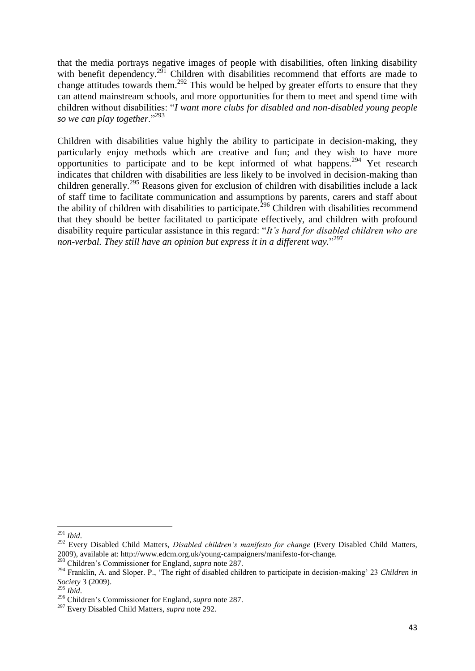<span id="page-42-0"></span>that the media portrays negative images of people with disabilities, often linking disability with benefit dependency.<sup>291</sup> Children with disabilities recommend that efforts are made to change attitudes towards them.<sup>292</sup> This would be helped by greater efforts to ensure that they can attend mainstream schools, and more opportunities for them to meet and spend time with children without disabilities: "*I want more clubs for disabled and non-disabled young people so we can play together*."<sup>293</sup>

Children with disabilities value highly the ability to participate in decision-making, they particularly enjoy methods which are creative and fun; and they wish to have more opportunities to participate and to be kept informed of what happens.<sup>294</sup> Yet research indicates that children with disabilities are less likely to be involved in decision-making than children generally.<sup>295</sup> Reasons given for exclusion of children with disabilities include a lack of staff time to facilitate communication and assumptions by parents, carers and staff about the ability of children with disabilities to participate.<sup>296</sup> Children with disabilities recommend that they should be better facilitated to participate effectively, and children with profound disability require particular assistance in this regard: "*It's hard for disabled children who are non-verbal. They still have an opinion but express it in a different way.*" 297

 $\overline{\phantom{a}}$ <sup>291</sup> *Ibid*.

<sup>292</sup> Every Disabled Child Matters, *Disabled children's manifesto for change* (Every Disabled Child Matters, 2009), available at: http://www.edcm.org.uk/young-campaigners/manifesto-for-change.

<sup>293</sup> Children's Commissioner for England, *supra* note [287.](#page-41-0)

<sup>294</sup> Franklin, A. and Sloper. P., 'The right of disabled children to participate in decision-making' 23 *Children in Society* 3 (2009).

<sup>295</sup> *Ibid*.

<sup>296</sup> Children's Commissioner for England, *supra* note [287.](#page-41-0)

<sup>297</sup> Every Disabled Child Matters, *supra* note [292.](#page-42-0)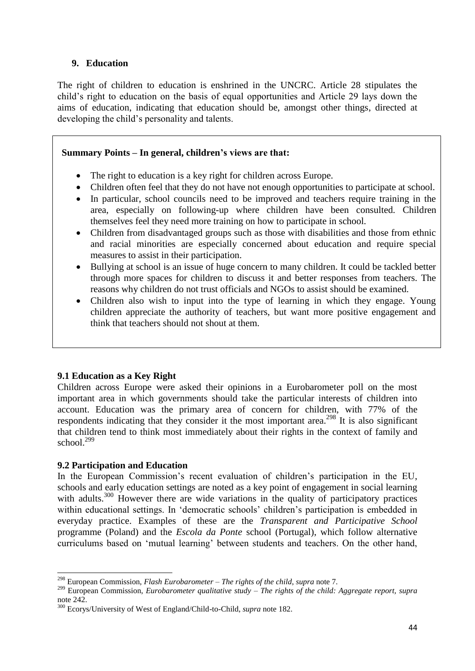## <span id="page-43-0"></span>**9. Education**

The right of children to education is enshrined in the UNCRC. Article 28 stipulates the child's right to education on the basis of equal opportunities and Article 29 lays down the aims of education, indicating that education should be, amongst other things, directed at developing the child's personality and talents.

## **Summary Points – In general, children's views are that:**

- The right to education is a key right for children across Europe.
- Children often feel that they do not have not enough opportunities to participate at school.
- In particular, school councils need to be improved and teachers require training in the area, especially on following-up where children have been consulted. Children themselves feel they need more training on how to participate in school.
- Children from disadvantaged groups such as those with disabilities and those from ethnic and racial minorities are especially concerned about education and require special measures to assist in their participation.
- Bullying at school is an issue of huge concern to many children. It could be tackled better through more spaces for children to discuss it and better responses from teachers. The reasons why children do not trust officials and NGOs to assist should be examined.
- Children also wish to input into the type of learning in which they engage. Young children appreciate the authority of teachers, but want more positive engagement and think that teachers should not shout at them.

## **9.1 Education as a Key Right**

Children across Europe were asked their opinions in a Eurobarometer poll on the most important area in which governments should take the particular interests of children into account. Education was the primary area of concern for children, with 77% of the respondents indicating that they consider it the most important area.<sup>298</sup> It is also significant that children tend to think most immediately about their rights in the context of family and school. 299

## **9.2 Participation and Education**

**.** 

In the European Commission's recent evaluation of children's participation in the EU, schools and early education settings are noted as a key point of engagement in social learning with adults.<sup>300</sup> However there are wide variations in the quality of participatory practices within educational settings. In 'democratic schools' children's participation is embedded in everyday practice. Examples of these are the *Transparent and Participative School* programme (Poland) and the *Escola da Ponte* school (Portugal), which follow alternative curriculums based on 'mutual learning' between students and teachers. On the other hand,

<sup>298</sup> European Commission, *Flash Eurobarometer – The rights of the child*, *supra* note [7.](#page-7-0)

<sup>299</sup> European Commission, *Eurobarometer qualitative study – The rights of the child: Aggregate report, supra* not[e 242.](#page-35-1)

<sup>300</sup> Ecorys/University of West of England/Child-to-Child, *supra* note [182.](#page-28-0)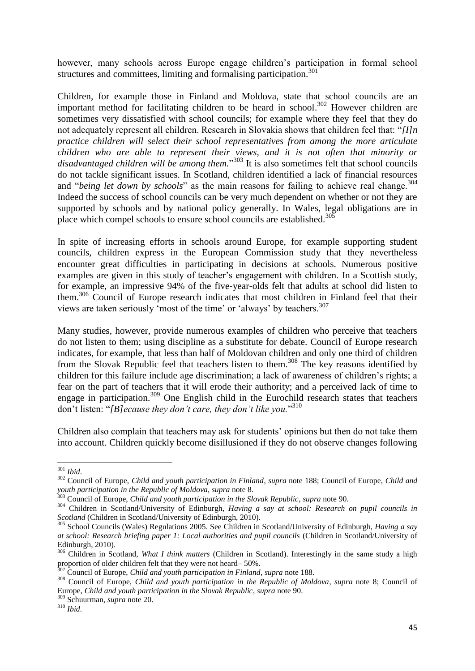however, many schools across Europe engage children's participation in formal school structures and committees, limiting and formalising participation.<sup>301</sup>

Children, for example those in Finland and Moldova, state that school councils are an important method for facilitating children to be heard in school.<sup>302</sup> However children are sometimes very dissatisfied with school councils; for example where they feel that they do not adequately represent all children. Research in Slovakia shows that children feel that: "*[I]n practice children will select their school representatives from among the more articulate children who are able to represent their views, and it is not often that minority or disadvantaged children will be among them.*" <sup>303</sup> It is also sometimes felt that school councils do not tackle significant issues. In Scotland, children identified a lack of financial resources and "*being let down by schools*" as the main reasons for failing to achieve real change.<sup>304</sup> Indeed the success of school councils can be very much dependent on whether or not they are supported by schools and by national policy generally. In Wales, legal obligations are in place which compel schools to ensure school councils are established. $30\overline{5}$ 

In spite of increasing efforts in schools around Europe, for example supporting student councils, children express in the European Commission study that they nevertheless encounter great difficulties in participating in decisions at schools. Numerous positive examples are given in this study of teacher's engagement with children. In a Scottish study, for example, an impressive 94% of the five-year-olds felt that adults at school did listen to them.<sup>306</sup> Council of Europe research indicates that most children in Finland feel that their views are taken seriously 'most of the time' or 'always' by teachers.<sup>307</sup>

Many studies, however, provide numerous examples of children who perceive that teachers do not listen to them; using discipline as a substitute for debate. Council of Europe research indicates, for example, that less than half of Moldovan children and only one third of children from the Slovak Republic feel that teachers listen to them.<sup>308</sup> The key reasons identified by children for this failure include age discrimination; a lack of awareness of children's rights; a fear on the part of teachers that it will erode their authority; and a perceived lack of time to engage in participation.<sup>309</sup> One English child in the Eurochild research states that teachers don't listen: "*[B]ecause they don't care, they don't like you.*" 310

Children also complain that teachers may ask for students' opinions but then do not take them into account. Children quickly become disillusioned if they do not observe changes following

**<sup>.</sup>** <sup>301</sup> *Ibid*.

<sup>302</sup> Council of Europe, *Child and youth participation in Finland*, *supra* note [188;](#page-28-1) Council of Europe, *Child and youth participation in the Republic of Moldova*, *supra* note [8.](#page-8-1)

<sup>303</sup> Council of Europe, *Child and youth participation in the Slovak Republic*, *supra* not[e 90.](#page-18-2)

<sup>304</sup> Children in Scotland/University of Edinburgh, *Having a say at school: Research on pupil councils in Scotland* (Children in Scotland/University of Edinburgh, 2010).

<sup>305</sup> School Councils (Wales) Regulations 2005. See Children in Scotland/University of Edinburgh, *Having a say at school: Research briefing paper 1: Local authorities and pupil councils* (Children in Scotland/University of Edinburgh, 2010).

<sup>306</sup> Children in Scotland, *What I think matters* (Children in Scotland). Interestingly in the same study a high proportion of older children felt that they were not heard– 50%.

<sup>307</sup> Council of Europe, *Child and youth participation in Finland*, *supra* not[e 188.](#page-28-1)

<sup>308</sup> Council of Europe, *Child and youth participation in the Republic of Moldova*, *supra* note [8;](#page-8-1) Council of Europe, *Child and youth participation in the Slovak Republic*, *supra* note [90.](#page-18-2)

<sup>309</sup> Schuurman, *supra* note [20.](#page-9-1)

<sup>310</sup> *Ibid*.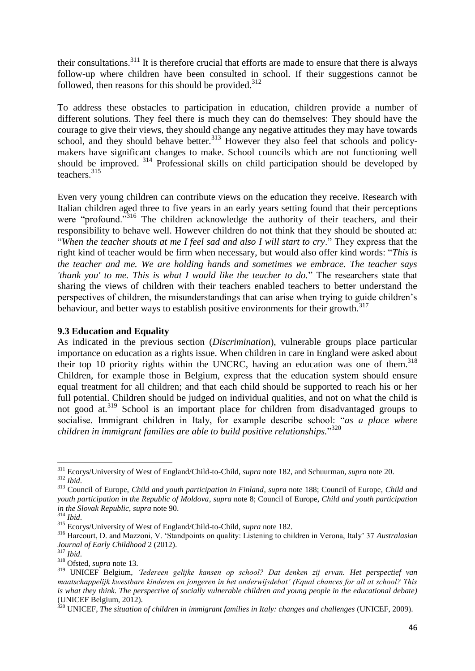their consultations. $311$  It is therefore crucial that efforts are made to ensure that there is always follow-up where children have been consulted in school. If their suggestions cannot be followed, then reasons for this should be provided. $312$ 

To address these obstacles to participation in education, children provide a number of different solutions. They feel there is much they can do themselves: They should have the courage to give their views, they should change any negative attitudes they may have towards school, and they should behave better. $313$  However they also feel that schools and policymakers have significant changes to make. School councils which are not functioning well should be improved. <sup>314</sup> Professional skills on child participation should be developed by teachers. 315

Even very young children can contribute views on the education they receive. Research with Italian children aged three to five years in an early years setting found that their perceptions were "profound."<sup>316</sup> The children acknowledge the authority of their teachers, and their responsibility to behave well. However children do not think that they should be shouted at: "*When the teacher shouts at me I feel sad and also I will start to cry*." They express that the right kind of teacher would be firm when necessary, but would also offer kind words: "*This is the teacher and me. We are holding hands and sometimes we embrace. The teacher says 'thank you' to me. This is what I would like the teacher to do.*" The researchers state that sharing the views of children with their teachers enabled teachers to better understand the perspectives of children, the misunderstandings that can arise when trying to guide children's behaviour, and better ways to establish positive environments for their growth.<sup>317</sup>

#### **9.3 Education and Equality**

As indicated in the previous section (*Discrimination*), vulnerable groups place particular importance on education as a rights issue. When children in care in England were asked about their top 10 priority rights within the UNCRC, having an education was one of them. $318$ Children, for example those in Belgium, express that the education system should ensure equal treatment for all children; and that each child should be supported to reach his or her full potential. Children should be judged on individual qualities, and not on what the child is not good at.<sup>319</sup> School is an important place for children from disadvantaged groups to socialise. Immigrant children in Italy, for example describe school: "*as a place where children in immigrant families are able to build positive relationships.*" 320

<span id="page-45-0"></span><sup>311</sup> Ecorys/University of West of England/Child-to-Child, *supra* note [182,](#page-28-0) and Schuurman, *supra* not[e 20.](#page-9-1) <sup>312</sup> *Ibid*.

<sup>313</sup> Council of Europe, *Child and youth participation in Finland*, *supra* note [188;](#page-28-1) Council of Europe, *Child and youth participation in the Republic of Moldova*, *supra* note [8;](#page-8-1) Council of Europe, *Child and youth participation in the Slovak Republic*, *supra* not[e 90.](#page-18-2)

<sup>314</sup> *Ibid*.

<sup>315</sup> Ecorys/University of West of England/Child-to-Child, *supra* note [182.](#page-28-0)

<sup>316</sup> Harcourt, D. and Mazzoni, V. 'Standpoints on quality: Listening to children in Verona, Italy' 37 *Australasian Journal of Early Childhood* 2 (2012).

<sup>317</sup> *Ibid*.

<sup>318</sup> Ofsted, *supra* note [13.](#page-8-2)

<sup>319</sup> UNICEF Belgium, *'Iedereen gelijke kansen op school? Dat denken zij ervan. Het perspectief van maatschappelijk kwestbare kinderen en jongeren in het onderwijsdebat' (Equal chances for all at school? This is what they think. The perspective of socially vulnerable children and young people in the educational debate)* (UNICEF Belgium, 2012).

<sup>320</sup> UNICEF, *The situation of children in immigrant families in Italy: changes and challenges* (UNICEF, 2009).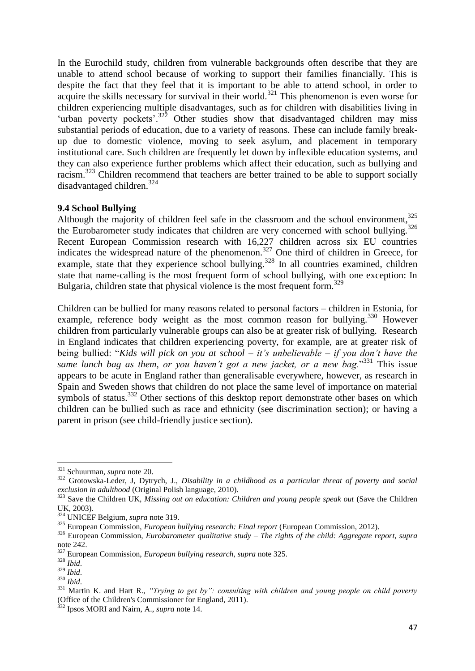In the Eurochild study, children from vulnerable backgrounds often describe that they are unable to attend school because of working to support their families financially. This is despite the fact that they feel that it is important to be able to attend school, in order to acquire the skills necessary for survival in their world.<sup>321</sup> This phenomenon is even worse for children experiencing multiple disadvantages, such as for children with disabilities living in 'urban poverty pockets'.<sup>322</sup> Other studies show that disadvantaged children may miss substantial periods of education, due to a variety of reasons. These can include family breakup due to domestic violence, moving to seek asylum, and placement in temporary institutional care. Such children are frequently let down by inflexible education systems, and they can also experience further problems which affect their education, such as bullying and racism.<sup>323</sup> Children recommend that teachers are better trained to be able to support socially disadvantaged children.<sup>324</sup>

#### <span id="page-46-0"></span>**9.4 School Bullying**

Although the majority of children feel safe in the classroom and the school environment.<sup>325</sup> the Eurobarometer study indicates that children are very concerned with school bullying. $326$ Recent European Commission research with 16,227 children across six EU countries indicates the widespread nature of the phenomenon.<sup>327</sup> One third of children in Greece, for example, state that they experience school bullying.<sup>328</sup> In all countries examined, children state that name-calling is the most frequent form of school bullying, with one exception: In Bulgaria, children state that physical violence is the most frequent form.<sup>329</sup>

Children can be bullied for many reasons related to personal factors – children in Estonia, for example, reference body weight as the most common reason for bullying.<sup>330</sup> However children from particularly vulnerable groups can also be at greater risk of bullying. Research in England indicates that children experiencing poverty, for example, are at greater risk of being bullied: "*Kids will pick on you at school – it's unbelievable – if you don't have the*  same lunch bag as them, or you haven't got a new jacket, or a new bag."<sup>331</sup> This issue appears to be acute in England rather than generalisable everywhere, however, as research in Spain and Sweden shows that children do not place the same level of importance on material symbols of status.<sup>332</sup> Other sections of this desktop report demonstrate other bases on which children can be bullied such as race and ethnicity (see discrimination section); or having a parent in prison (see child-friendly justice section).

<sup>321</sup> Schuurman, *supra* note [20.](#page-9-1)

<sup>322</sup> Grotowska-Leder, J, Dytrych, J., *Disability in a childhood as a particular threat of poverty and social exclusion in adulthood* (Original Polish language, 2010).

<sup>&</sup>lt;sup>323</sup> Save the Children UK, *Missing out on education: Children and young people speak out* (Save the Children UK, 2003).

<sup>324</sup> UNICEF Belgium, *supra* note [319.](#page-45-0)

<sup>325</sup> European Commission, *European bullying research: Final report* (European Commission, 2012).

<sup>326</sup> European Commission, *Eurobarometer qualitative study – The rights of the child: Aggregate report, supra* not[e 242.](#page-35-1)

<sup>327</sup> European Commission, *European bullying research, supra* note [325.](#page-46-0)

<sup>328</sup> *Ibid*.

<sup>329</sup> *Ibid*.

<sup>330</sup> *Ibid*.

<sup>331</sup> Martin K. and Hart R., *"Trying to get by": consulting with children and young people on child poverty*  (Office of the Children's Commissioner for England, 2011).

<sup>332</sup> Ipsos MORI and Nairn, A., *supra* note [14.](#page-9-2)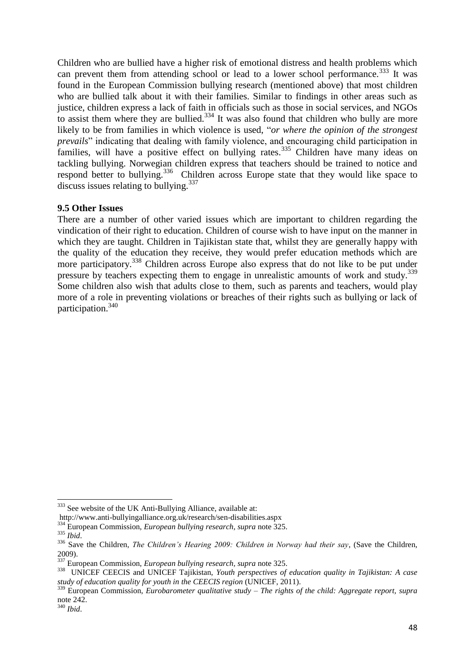Children who are bullied have a higher risk of emotional distress and health problems which can prevent them from attending school or lead to a lower school performance.<sup>333</sup> It was found in the European Commission bullying research (mentioned above) that most children who are bullied talk about it with their families. Similar to findings in other areas such as justice, children express a lack of faith in officials such as those in social services, and NGOs to assist them where they are bullied.<sup>334</sup> It was also found that children who bully are more likely to be from families in which violence is used, "*or where the opinion of the strongest prevails*" indicating that dealing with family violence, and encouraging child participation in families, will have a positive effect on bullying rates.<sup>335</sup> Children have many ideas on tackling bullying. Norwegian children express that teachers should be trained to notice and respond better to bullying.<sup>336</sup> Children across Europe state that they would like space to discuss issues relating to bullying.<sup>337</sup>

#### **9.5 Other Issues**

There are a number of other varied issues which are important to children regarding the vindication of their right to education. Children of course wish to have input on the manner in which they are taught. Children in Tajikistan state that, whilst they are generally happy with the quality of the education they receive, they would prefer education methods which are more participatory.<sup>338</sup> Children across Europe also express that do not like to be put under pressure by teachers expecting them to engage in unrealistic amounts of work and study.<sup>339</sup> Some children also wish that adults close to them, such as parents and teachers, would play more of a role in preventing violations or breaches of their rights such as bullying or lack of participation.<sup>340</sup>

1

<sup>&</sup>lt;sup>333</sup> See website of the UK Anti-Bullying Alliance, available at:

[http://www.anti-bullyingalliance.org.uk/research/sen-disabilities.aspx](http://www.antibullyingalliance.org.uk/research/sendisabilities.aspx)

<sup>334</sup> European Commission, *European bullying research, supra* note [325.](#page-46-0)

<sup>335</sup> *Ibid*.

<sup>336</sup> Save the Children, *The Children's Hearing 2009: Children in Norway had their say*, (Save the Children, 2009).

<sup>337</sup> European Commission, *European bullying research, supra* note [325.](#page-46-0)

<sup>338</sup> UNICEF CEECIS and UNICEF Tajikistan, *Youth perspectives of education quality in Tajikistan: A case study of education quality for youth in the CEECIS region* (UNICEF, 2011).

<sup>339</sup> European Commission, *Eurobarometer qualitative study – The rights of the child: Aggregate report, supra* not[e 242.](#page-35-1)

<sup>340</sup> *Ibid*.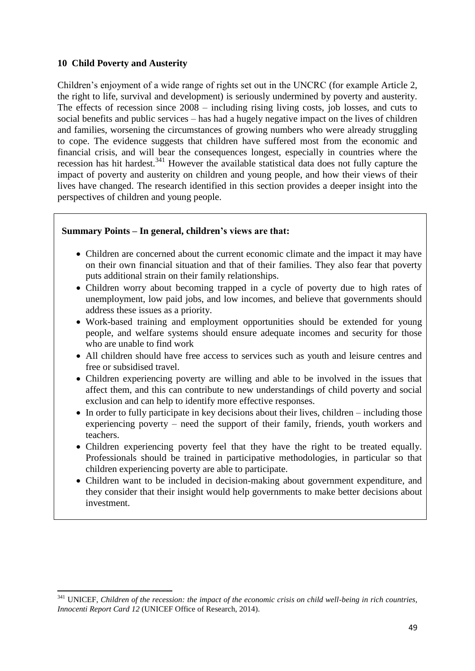## <span id="page-48-0"></span>**10 Child Poverty and Austerity**

**.** 

Children's enjoyment of a wide range of rights set out in the UNCRC (for example Article 2, the right to life, survival and development) is seriously undermined by poverty and austerity. The effects of recession since 2008 – including rising living costs, job losses, and cuts to social benefits and public services – has had a hugely negative impact on the lives of children and families, worsening the circumstances of growing numbers who were already struggling to cope. The evidence suggests that children have suffered most from the economic and financial crisis, and will bear the consequences longest, especially in countries where the recession has hit hardest.<sup>341</sup> However the available statistical data does not fully capture the impact of poverty and austerity on children and young people, and how their views of their lives have changed. The research identified in this section provides a deeper insight into the perspectives of children and young people.

#### **Summary Points – In general, children's views are that:**

- Children are concerned about the current economic climate and the impact it may have on their own financial situation and that of their families. They also fear that poverty puts additional strain on their family relationships.
- Children worry about becoming trapped in a cycle of poverty due to high rates of unemployment, low paid jobs, and low incomes, and believe that governments should address these issues as a priority.
- Work-based training and employment opportunities should be extended for young people, and welfare systems should ensure adequate incomes and security for those who are unable to find work
- All children should have free access to services such as youth and leisure centres and free or subsidised travel.
- Children experiencing poverty are willing and able to be involved in the issues that affect them, and this can contribute to new understandings of child poverty and social exclusion and can help to identify more effective responses.
- In order to fully participate in key decisions about their lives, children including those experiencing poverty – need the support of their family, friends, youth workers and teachers.
- Children experiencing poverty feel that they have the right to be treated equally. Professionals should be trained in participative methodologies, in particular so that children experiencing poverty are able to participate.
- Children want to be included in decision-making about government expenditure, and they consider that their insight would help governments to make better decisions about investment.

<sup>341</sup> UNICEF, *Children of the recession: the impact of the economic crisis on child well-being in rich countries, Innocenti Report Card 12* (UNICEF Office of Research, 2014).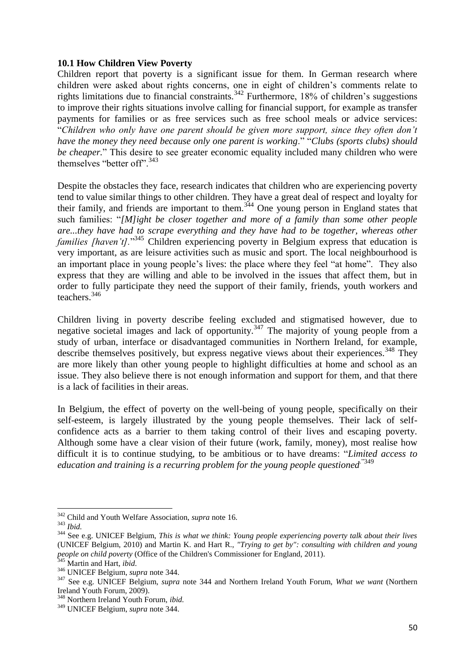#### **10.1 How Children View Poverty**

Children report that poverty is a significant issue for them. In German research where children were asked about rights concerns, one in eight of children's comments relate to rights limitations due to financial constraints.<sup>342</sup> Furthermore, 18% of children's suggestions to improve their rights situations involve calling for financial support, for example as transfer payments for families or as free services such as free school meals or advice services: "*Children who only have one parent should be given more support, since they often don't have the money they need because only one parent is working*." "*Clubs (sports clubs) should be cheaper.*" This desire to see greater economic equality included many children who were themselves "better off".<sup>343</sup>

<span id="page-49-0"></span>Despite the obstacles they face, research indicates that children who are experiencing poverty tend to value similar things to other children. They have a great deal of respect and loyalty for their family, and friends are important to them.<sup>344</sup> One young person in England states that such families: "*[M]ight be closer together and more of a family than some other people are...they have had to scrape everything and they have had to be together, whereas other*  families [haven't]."<sup>345</sup> Children experiencing poverty in Belgium express that education is very important, as are leisure activities such as music and sport. The local neighbourhood is an important place in young people's lives: the place where they feel "at home". They also express that they are willing and able to be involved in the issues that affect them, but in order to fully participate they need the support of their family, friends, youth workers and teachers.<sup>346</sup>

Children living in poverty describe feeling excluded and stigmatised however, due to negative societal images and lack of opportunity.<sup>347</sup> The majority of young people from a study of urban, interface or disadvantaged communities in Northern Ireland, for example, describe themselves positively, but express negative views about their experiences.<sup>348</sup> They are more likely than other young people to highlight difficulties at home and school as an issue. They also believe there is not enough information and support for them, and that there is a lack of facilities in their areas.

In Belgium, the effect of poverty on the well-being of young people, specifically on their self-esteem, is largely illustrated by the young people themselves. Their lack of selfconfidence acts as a barrier to them taking control of their lives and escaping poverty. Although some have a clear vision of their future (work, family, money), most realise how difficult it is to continue studying, to be ambitious or to have dreams: "*Limited access to education and training is a recurring problem for the young people questioned.*"349

**<sup>.</sup>** <sup>342</sup> Child and Youth Welfare Association, *supra* note [16.](#page-9-3)

<sup>343</sup> *Ibid.*

<sup>344</sup> See e.g. UNICEF Belgium, *This is what we think: Young people experiencing poverty talk about their lives* (UNICEF Belgium, 2010) and Martin K. and Hart R., *"Trying to get by": consulting with children and young people on child poverty* (Office of the Children's Commissioner for England, 2011).

<sup>345</sup> Martin and Hart, *ibid*.

<sup>346</sup> UNICEF Belgium, *supra* note [344.](#page-49-0)

<sup>347</sup> See e.g. UNICEF Belgium, *supra* note [344](#page-49-0) and Northern Ireland Youth Forum, *What we want* (Northern Ireland Youth Forum, 2009).

<sup>348</sup> Northern Ireland Youth Forum, *ibid.*

<sup>349</sup> UNICEF Belgium, *supra* note [344.](#page-49-0)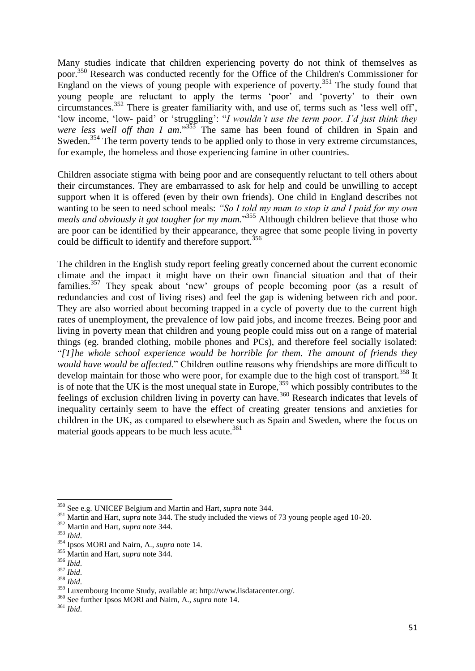Many studies indicate that children experiencing poverty do not think of themselves as poor.<sup>350</sup> Research was conducted recently for the Office of the Children's Commissioner for England on the views of young people with experience of poverty.<sup>351</sup> The study found that young people are reluctant to apply the terms 'poor' and 'poverty' to their own circumstances.<sup>352</sup> There is greater familiarity with, and use of, terms such as 'less well off', 'low income, 'low- paid' or 'struggling': "*I wouldn't use the term poor. I'd just think they*  were less well off than I am."<sup>353</sup> The same has been found of children in Spain and Sweden.<sup>354</sup> The term poverty tends to be applied only to those in very extreme circumstances, for example, the homeless and those experiencing famine in other countries.

Children associate stigma with being poor and are consequently reluctant to tell others about their circumstances. They are embarrassed to ask for help and could be unwilling to accept support when it is offered (even by their own friends). One child in England describes not wanting to be seen to need school meals: *"So I told my mum to stop it and I paid for my own meals and obviously it got tougher for my mum.*" <sup>355</sup> Although children believe that those who are poor can be identified by their appearance, they agree that some people living in poverty could be difficult to identify and therefore support.<sup>356</sup>

The children in the English study report feeling greatly concerned about the current economic climate and the impact it might have on their own financial situation and that of their families.<sup>357</sup> They speak about 'new' groups of people becoming poor (as a result of redundancies and cost of living rises) and feel the gap is widening between rich and poor. They are also worried about becoming trapped in a cycle of poverty due to the current high rates of unemployment, the prevalence of low paid jobs, and income freezes. Being poor and living in poverty mean that children and young people could miss out on a range of material things (eg. branded clothing, mobile phones and PCs), and therefore feel socially isolated: "*[T]he whole school experience would be horrible for them. The amount of friends they would have would be affected.*" Children outline reasons why friendships are more difficult to develop maintain for those who were poor, for example due to the high cost of transport.<sup>358</sup> It is of note that the UK is the most unequal state in Europe,<sup>359</sup> which possibly contributes to the feelings of exclusion children living in poverty can have.<sup>360</sup> Research indicates that levels of inequality certainly seem to have the effect of creating greater tensions and anxieties for children in the UK, as compared to elsewhere such as Spain and Sweden, where the focus on material goods appears to be much less acute. $361$ 

1

<sup>350</sup> See e.g. UNICEF Belgium and Martin and Hart, *supra* note [344.](#page-49-0)

<sup>&</sup>lt;sup>351</sup> Martin and Hart, *supra* not[e 344.](#page-49-0) The study included the views of 73 young people aged 10-20.

<sup>352</sup> Martin and Hart, *supra* not[e 344.](#page-49-0)

<sup>353</sup> *Ibid*.

<sup>354</sup> Ipsos MORI and Nairn, A., *supra* note [14.](#page-9-2)

<sup>355</sup> Martin and Hart, *supra* not[e 344.](#page-49-0)

<sup>356</sup> *Ibid*.

<sup>357</sup> *Ibid*.

<sup>358</sup> *Ibid*.

<sup>359</sup> Luxembourg Income Study, available at: http://www.lisdatacenter.org/.

<sup>360</sup> See further Ipsos MORI and Nairn, A., *supra* not[e 14.](#page-9-2)

<sup>361</sup> *Ibid*.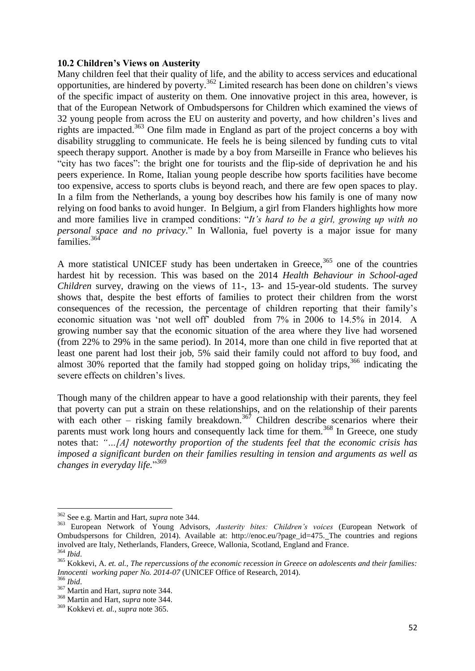#### **10.2 Children's Views on Austerity**

Many children feel that their quality of life, and the ability to access services and educational opportunities, are hindered by poverty.<sup>362</sup> Limited research has been done on children's views of the specific impact of austerity on them. One innovative project in this area, however, is that of the European Network of Ombudspersons for Children which examined the views of 32 young people from across the EU on austerity and poverty, and how children's lives and rights are impacted.<sup>363</sup> One film made in England as part of the project concerns a boy with disability struggling to communicate. He feels he is being silenced by funding cuts to vital speech therapy support. Another is made by a boy from Marseille in France who believes his "city has two faces": the bright one for tourists and the flip-side of deprivation he and his peers experience. In Rome, Italian young people describe how sports facilities have become too expensive, access to sports clubs is beyond reach, and there are few open spaces to play. In a film from the Netherlands, a young boy describes how his family is one of many now relying on food banks to avoid hunger. In Belgium, a girl from Flanders highlights how more and more families live in cramped conditions: "*It's hard to be a girl, growing up with no personal space and no privacy*." In Wallonia, fuel poverty is a major issue for many families.<sup>364</sup>

<span id="page-51-0"></span>A more statistical UNICEF study has been undertaken in Greece,  $365$  one of the countries hardest hit by recession. This was based on the 2014 *Health Behaviour in School-aged Children* survey, drawing on the views of 11-, 13- and 15-year-old students. The survey shows that, despite the best efforts of families to protect their children from the worst consequences of the recession, the percentage of children reporting that their family's economic situation was 'not well off' doubled from 7% in 2006 to 14.5% in 2014. A growing number say that the economic situation of the area where they live had worsened (from 22% to 29% in the same period). In 2014, more than one child in five reported that at least one parent had lost their job, 5% said their family could not afford to buy food, and almost 30% reported that the family had stopped going on holiday trips,<sup>366</sup> indicating the severe effects on children's lives.

Though many of the children appear to have a good relationship with their parents, they feel that poverty can put a strain on these relationships, and on the relationship of their parents with each other – risking family breakdown.<sup>367</sup> Children describe scenarios where their parents must work long hours and consequently lack time for them.<sup>368</sup> In Greece, one study notes that: *"…[A] noteworthy proportion of the students feel that the economic crisis has imposed a significant burden on their families resulting in tension and arguments as well as changes in everyday life.*" 369

<sup>362</sup> See e.g. Martin and Hart, *supra* not[e 344.](#page-49-0)

<sup>363</sup> European Network of Young Advisors, *Austerity bites: Children's voices* (European Network of Ombudspersons for Children, 2014). Available at: [http://enoc.eu/?page\\_id=475.](http://enoc.eu/?page_id=475) The countries and regions involved are Italy, Netherlands, Flanders, Greece, Wallonia, Scotland, England and France.

<sup>364</sup> *Ibid*.

<sup>365</sup> Kokkevi, A. *et. al.*, *The repercussions of the economic recession in Greece on adolescents and their families: Innocenti working paper No. 2014-07* (UNICEF Office of Research, 2014).

<sup>366</sup> *Ibid*.

<sup>367</sup> Martin and Hart, *supra* not[e 344.](#page-49-0)

<sup>368</sup> Martin and Hart, *supra* not[e 344.](#page-49-0)

<sup>369</sup> Kokkevi *et. al.*, *supra* not[e 365.](#page-51-0)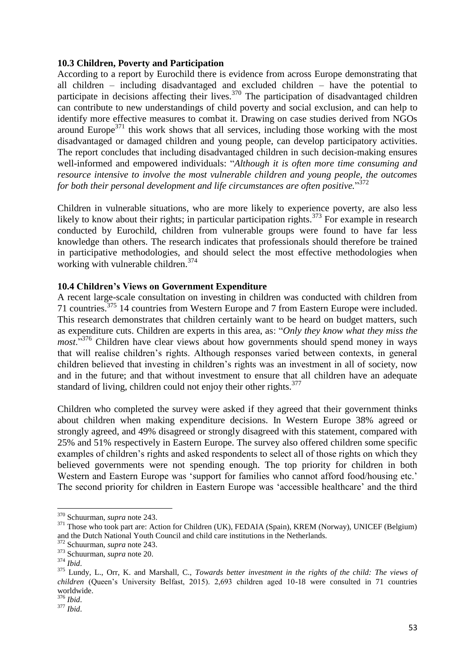#### **10.3 Children, Poverty and Participation**

According to a report by Eurochild there is evidence from across Europe demonstrating that all children – including disadvantaged and excluded children – have the potential to participate in decisions affecting their lives.<sup>370</sup> The participation of disadvantaged children can contribute to new understandings of child poverty and social exclusion, and can help to identify more effective measures to combat it. Drawing on case studies derived from NGOs around Europe<sup>371</sup> this work shows that all services, including those working with the most disadvantaged or damaged children and young people, can develop participatory activities. The report concludes that including disadvantaged children in such decision-making ensures well-informed and empowered individuals: "*Although it is often more time consuming and resource intensive to involve the most vulnerable children and young people, the outcomes for both their personal development and life circumstances are often positive.*" 372

Children in vulnerable situations, who are more likely to experience poverty, are also less likely to know about their rights; in particular participation rights.<sup>373</sup> For example in research conducted by Eurochild, children from vulnerable groups were found to have far less knowledge than others. The research indicates that professionals should therefore be trained in participative methodologies, and should select the most effective methodologies when working with vulnerable children.<sup>374</sup>

#### **10.4 Children's Views on Government Expenditure**

A recent large-scale consultation on investing in children was conducted with children from 71 countries.<sup>375</sup> 14 countries from Western Europe and 7 from Eastern Europe were included. This research demonstrates that children certainly want to be heard on budget matters, such as expenditure cuts. Children are experts in this area, as: "*Only they know what they miss the most*."<sup>376</sup> Children have clear views about how governments should spend money in ways that will realise children's rights. Although responses varied between contexts, in general children believed that investing in children's rights was an investment in all of society, now and in the future; and that without investment to ensure that all children have an adequate standard of living, children could not enjoy their other rights. $377$ 

Children who completed the survey were asked if they agreed that their government thinks about children when making expenditure decisions. In Western Europe 38% agreed or strongly agreed, and 49% disagreed or strongly disagreed with this statement, compared with 25% and 51% respectively in Eastern Europe. The survey also offered children some specific examples of children's rights and asked respondents to select all of those rights on which they believed governments were not spending enough. The top priority for children in both Western and Eastern Europe was 'support for families who cannot afford food/housing etc.' The second priority for children in Eastern Europe was 'accessible healthcare' and the third

<sup>370</sup> Schuurman, *supra* note [243.](#page-36-3)

<sup>&</sup>lt;sup>371</sup> Those who took part are: Action for Children (UK), FEDAIA (Spain), KREM (Norway), UNICEF (Belgium) and the Dutch National Youth Council and child care institutions in the Netherlands.

<sup>372</sup> Schuurman, *supra* note [243.](#page-36-3)

<sup>373</sup> Schuurman, *supra* note [20.](#page-9-1)

<sup>374</sup> *Ibid*.

<sup>375</sup> Lundy, L., Orr, K. and Marshall, C., *Towards better investment in the rights of the child: The views of children* (Queen's University Belfast, 2015). 2,693 children aged 10-18 were consulted in 71 countries worldwide.

<sup>376</sup> *Ibid*.

<sup>377</sup> *Ibid*.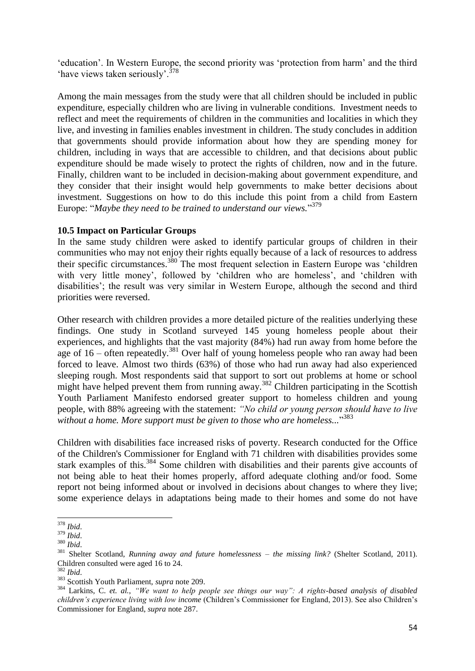'education'. In Western Europe, the second priority was 'protection from harm' and the third 'have views taken seriously'.<sup>378</sup>

Among the main messages from the study were that all children should be included in public expenditure, especially children who are living in vulnerable conditions. Investment needs to reflect and meet the requirements of children in the communities and localities in which they live, and investing in families enables investment in children. The study concludes in addition that governments should provide information about how they are spending money for children, including in ways that are accessible to children, and that decisions about public expenditure should be made wisely to protect the rights of children, now and in the future. Finally, children want to be included in decision-making about government expenditure, and they consider that their insight would help governments to make better decisions about investment. Suggestions on how to do this include this point from a child from Eastern Europe: "*Maybe they need to be trained to understand our views.*" 379

#### **10.5 Impact on Particular Groups**

In the same study children were asked to identify particular groups of children in their communities who may not enjoy their rights equally because of a lack of resources to address their specific circumstances.<sup>380</sup> The most frequent selection in Eastern Europe was 'children with very little money', followed by 'children who are homeless', and 'children with disabilities'; the result was very similar in Western Europe, although the second and third priorities were reversed.

Other research with children provides a more detailed picture of the realities underlying these findings. One study in Scotland surveyed 145 young homeless people about their experiences, and highlights that the vast majority (84%) had run away from home before the age of  $16$  – often repeatedly.<sup>381</sup> Over half of young homeless people who ran away had been forced to leave. Almost two thirds (63%) of those who had run away had also experienced sleeping rough. Most respondents said that support to sort out problems at home or school might have helped prevent them from running away.<sup>382</sup> Children participating in the Scottish Youth Parliament Manifesto endorsed greater support to homeless children and young people, with 88% agreeing with the statement: *"No child or young person should have to live without a home. More support must be given to those who are homeless...*" 383

Children with disabilities face increased risks of poverty. Research conducted for the Office of the Children's Commissioner for England with 71 children with disabilities provides some stark examples of this.<sup>384</sup> Some children with disabilities and their parents give accounts of not being able to heat their homes properly, afford adequate clothing and/or food. Some report not being informed about or involved in decisions about changes to where they live; some experience delays in adaptations being made to their homes and some do not have

**<sup>.</sup>** <sup>378</sup> *Ibid*.

<sup>379</sup> *Ibid*.

<sup>380</sup> *Ibid*.

<sup>381</sup> Shelter Scotland, *Running away and future homelessness – the missing link?* (Shelter Scotland, 2011). Children consulted were aged 16 to 24.

<sup>382</sup> *Ibid*.

<sup>383</sup> Scottish Youth Parliament, *supra* note [209.](#page-31-0)

<sup>384</sup> Larkins, C. *et. al.*, *"We want to help people see things our way": A rights-based analysis of disabled children's experience living with low income* (Children's Commissioner for England, 2013). See also Children's Commissioner for England, *supra* note [287.](#page-41-0)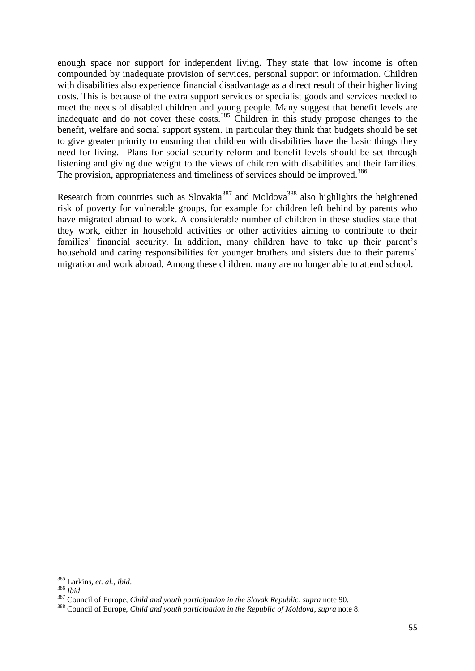enough space nor support for independent living. They state that low income is often compounded by inadequate provision of services, personal support or information. Children with disabilities also experience financial disadvantage as a direct result of their higher living costs. This is because of the extra support services or specialist goods and services needed to meet the needs of disabled children and young people. Many suggest that benefit levels are inadequate and do not cover these costs.<sup>385</sup> Children in this study propose changes to the benefit, welfare and social support system. In particular they think that budgets should be set to give greater priority to ensuring that children with disabilities have the basic things they need for living. Plans for social security reform and benefit levels should be set through listening and giving due weight to the views of children with disabilities and their families. The provision, appropriateness and timeliness of services should be improved.<sup>386</sup>

Research from countries such as Slovakia<sup>387</sup> and Moldova<sup>388</sup> also highlights the heightened risk of poverty for vulnerable groups, for example for children left behind by parents who have migrated abroad to work. A considerable number of children in these studies state that they work, either in household activities or other activities aiming to contribute to their families' financial security. In addition, many children have to take up their parent's household and caring responsibilities for younger brothers and sisters due to their parents' migration and work abroad. Among these children, many are no longer able to attend school.

<sup>385</sup> Larkins, *et. al.*, *ibid*.

<sup>386</sup> *Ibid*.

<sup>387</sup> Council of Europe, *Child and youth participation in the Slovak Republic*, *supra* not[e 90.](#page-18-2)

<sup>388</sup> Council of Europe, *Child and youth participation in the Republic of Moldova*, *supra* not[e 8.](#page-8-1)